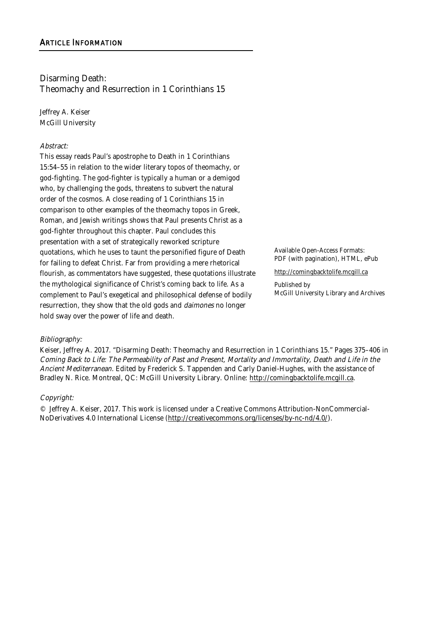# Disarming Death: Theomachy and Resurrection in 1 Corinthians 15

Jeffrey A. Keiser McGill University

#### Abstract:

This essay reads Paul's apostrophe to Death in 1 Corinthians 15:54–55 in relation to the wider literary topos of theomachy, or god-fighting. The god-fighter is typically a human or a demigod who, by challenging the gods, threatens to subvert the natural order of the cosmos. A close reading of 1 Corinthians 15 in comparison to other examples of the theomachy topos in Greek, Roman, and Jewish writings shows that Paul presents Christ as a god-fighter throughout this chapter. Paul concludes this presentation with a set of strategically reworked scripture quotations, which he uses to taunt the personified figure of Death for failing to defeat Christ. Far from providing a mere rhetorical flourish, as commentators have suggested, these quotations illustrate the mythological significance of Christ's coming back to life. As a complement to Paul's exegetical and philosophical defense of bodily resurrection, they show that the old gods and *daimones* no longer hold sway over the power of life and death.

Available Open-Access Formats: PDF (with pagination), HTML, ePub

http://comingbacktolife.mcgill.ca

Published by McGill University Library and Archives

## Bibliography:

Keiser, Jeffrey A. 2017. "Disarming Death: Theomachy and Resurrection in 1 Corinthians 15." Pages 375–406 in Coming Back to Life: The Permeability of Past and Present, Mortality and Immortality, Death and Life in the Ancient Mediterranean. Edited by Frederick S. Tappenden and Carly Daniel-Hughes, with the assistance of Bradley N. Rice. Montreal, QC: McGill University Library. Online: http://comingbacktolife.mcgill.ca.

#### Copyright:

© Jeffrey A. Keiser, 2017. This work is licensed under a Creative Commons Attribution-NonCommercial-NoDerivatives 4.0 International License (http://creativecommons.org/licenses/by-nc-nd/4.0/).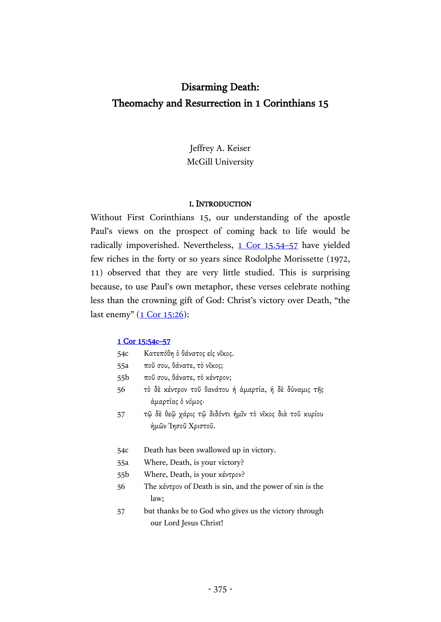# Disarming Death: Theomachy and Resurrection in 1 Corinthians 15

Jeffrey A. Keiser McGill University

#### I. INTRODUCTION

Without First Corinthians 15, our understanding of the apostle Paul's views on the prospect of coming back to life would be radically impoverished. Nevertheless, [1 Cor 15.54](http://www.academic-bible.com/bible-text/1Corinthians15.54-57/NA/)-57 have yielded few riches in the forty or so years since Rodolphe Morissette (1972, 11) observed that they are very little studied. This is surprising because, to use Paul's own metaphor, these verses celebrate nothing less than the crowning gift of God: Christ's victory over Death, "the last enemy"  $(1$  Cor  $15:26)$ :

#### [1 Cor 15:54c](http://www.academic-bible.com/bible-text/1Corinthians15.54-57/NA/)–57

| 54c             | Κατεπόθη ὁ θάνατος εἰς νῖκος.                                                   |  |
|-----------------|---------------------------------------------------------------------------------|--|
| 55a             | ποῦ σου, θάνατε, τὸ νῖκος;                                                      |  |
| 55 <sub>b</sub> | ποῦ σου, θάνατε, τὸ κέντρον;                                                    |  |
| 56              | τὸ δὲ κέντρον τοῦ θανάτου ή άμαρτία, ή δὲ δύναμις τῆς<br>άμαρτίας ὁ νόμος·      |  |
| 57              | τῷ δὲ θεῷ χάρις τῷ διδόντι ἡμῖν τὸ νῖχος διὰ τοῦ χυρίου<br>ήμῶν Ἰησοῦ Χριστοῦ.  |  |
| 54c             | Death has been swallowed up in victory.                                         |  |
| 55a             | Where, Death, is your victory?                                                  |  |
| 55 <sub>b</sub> | Where, Death, is your κέντρον?                                                  |  |
| 56              | The $x \notin Y \cap Y$ of Death is sin, and the power of sin is the<br>law;    |  |
| 57              | but thanks be to God who gives us the victory through<br>our Lord Jesus Christ! |  |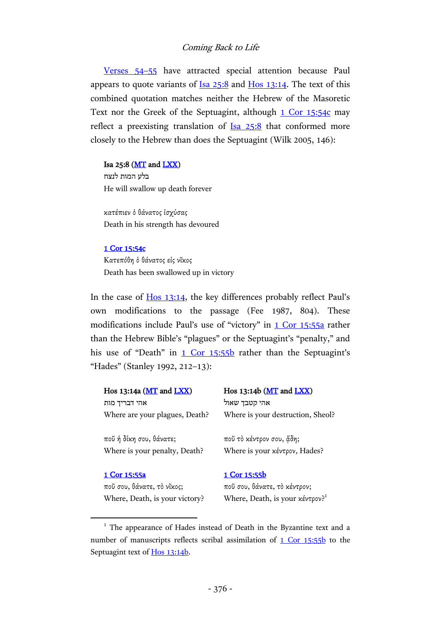[Verses 54](http://www.academic-bible.com/bible-text/1Corinthians15.54-55/NA/)–55 have attracted special attention because Paul appears to quote variants of  $I_{sa}$   $25:8$  and  $H_{os}$   $13:14$ . The text of this combined quotation matches neither the Hebrew of the Masoretic Text nor the Greek of the Septuagint, although [1 Cor 15:54c](http://www.academic-bible.com/bible-text/1Corinthians15.54/NA/) may reflect a preexisting translation of Isa [25:8](http://www.academic-bible.com/bible-text/Isaiah25/BHS/) that conformed more closely to the Hebrew than does the Septuagint (Wilk 2005, 146):

#### Isa 25:8 ( $MT$  and  $LXX$ )

בלע המות לנצח He will swallow up death forever

κατέπιεν ὁ θάνατος ἰσχύσας Death in his strength has devoured

#### [1 Cor 15:54c](http://www.academic-bible.com/bible-text/1Corinthians15.54/NA/)

 $\overline{a}$ 

Κατεπόθη ὁ θάνατος εἰς νῖκος Death has been swallowed up in victory

In the case of Hos [13:14](http://www.academic-bible.com/bible-text/Hosea13/BHS/), the key differences probably reflect Paul's own modifications to the passage (Fee 1987, 804). These modifications include Paul's use of "victory" in [1 Cor 15:55a](http://www.academic-bible.com/bible-text/1Corinthians15.55/NA/) rather than the Hebrew Bible's "plagues" or the Septuagint's "penalty," and his use of "Death" in  $1$  Cor  $15:55b$  rather than the Septuagint's "Hades" (Stanley 1992, 212–13):

| Hos 13:14a (MT and LXX)        |              | Hos 13:14b ( $MT$ and $LXX$ )                     |  |
|--------------------------------|--------------|---------------------------------------------------|--|
| אהי דבריך מות                  |              | אהי קטבד שאול                                     |  |
| Where are your plagues, Death? |              | Where is your destruction, Sheol?                 |  |
| ποῦ ἡ δίκη σου, θάνατε;        |              | ποῦ τὸ κέντρον σου, ἄδη;                          |  |
| Where is your penalty, Death?  |              | Where is your κέντρον, Hades?                     |  |
| 1 Cor 15:55a                   | 1 Cor 15:55b |                                                   |  |
| ποῦ σου, θάνατε, τὸ νῖκος;     |              | ποῦ σου, θάνατε, τὸ κέντρον;                      |  |
| Where, Death, is your victory? |              | Where, Death, is your $x \notin V$ ? <sup>1</sup> |  |
|                                |              |                                                   |  |

<sup>&</sup>lt;sup>1</sup> The appearance of Hades instead of Death in the Byzantine text and a number of manuscripts reflects scribal assimilation of [1 Cor 15:55b](http://www.academic-bible.com/bible-text/1Corinthians15.55/NA/) to the Septuagint text of [Hos 13:14b.](http://www.academic-bible.com/bible-text/Hosea13.14/LXX/)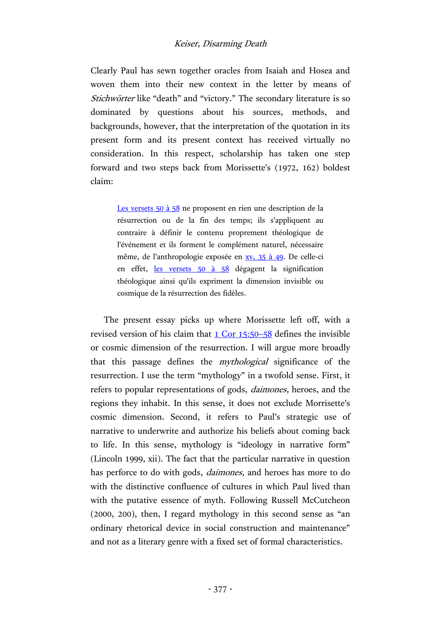Clearly Paul has sewn together oracles from Isaiah and Hosea and woven them into their new context in the letter by means of Stichwörter like "death" and "victory." The secondary literature is so dominated by questions about his sources, methods, and backgrounds, however, that the interpretation of the quotation in its present form and its present context has received virtually no consideration. In this respect, scholarship has taken one step forward and two steps back from Morissette's (1972, 162) boldest claim:

> [Les versets 50 à 58](http://www.academic-bible.com/bible-text/1Corinthians15.50-58/NA/) ne proposent en rien une description de la résurrection ou de la fin des temps; ils s'appliquent au contraire à définir le contenu proprement théologique de l'événement et ils forment le complément naturel, nécessaire même, de l'anthropologie exposée en [xv, 35 à 49.](http://www.academic-bible.com/bible-text/1Corinthians15.35-49/NA/) De celle-ci en effet, [les versets 50 à 58](http://www.academic-bible.com/bible-text/1Corinthians15.50-58/NA/) dégagent la signification théologique ainsi qu'ils expriment la dimension invisible ou cosmique de la résurrection des fidèles.

The present essay picks up where Morissette left off, with a revised version of his claim that [1 Cor 15:50](http://www.academic-bible.com/bible-text/1Corinthians15.50-58/NA/)–58 defines the invisible or cosmic dimension of the resurrection. I will argue more broadly that this passage defines the mythological significance of the resurrection. I use the term "mythology" in a twofold sense. First, it refers to popular representations of gods, daimones, heroes, and the regions they inhabit. In this sense, it does not exclude Morrisette's cosmic dimension. Second, it refers to Paul's strategic use of narrative to underwrite and authorize his beliefs about coming back to life. In this sense, mythology is "ideology in narrative form" (Lincoln 1999, xii). The fact that the particular narrative in question has perforce to do with gods, *daimones*, and heroes has more to do with the distinctive confluence of cultures in which Paul lived than with the putative essence of myth. Following Russell McCutcheon (2000, 200), then, I regard mythology in this second sense as "an ordinary rhetorical device in social construction and maintenance" and not as a literary genre with a fixed set of formal characteristics.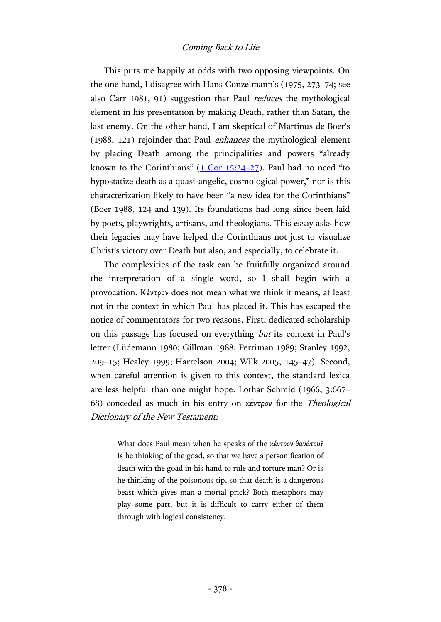This puts me happily at odds with two opposing viewpoints. On the one hand, I disagree with Hans Conzelmann's (1975, 273–74; see also Carr 1981, 91) suggestion that Paul reduces the mythological element in his presentation by making Death, rather than Satan, the last enemy. On the other hand, I am skeptical of Martinus de Boer's (1988, 121) rejoinder that Paul enhances the mythological element by placing Death among the principalities and powers "already known to the Corinthians"  $(1$  Cor 15:24-27). Paul had no need "to hypostatize death as a quasi-angelic, cosmological power," nor is this characterization likely to have been "a new idea for the Corinthians" (Boer 1988, 124 and 139). Its foundations had long since been laid by poets, playwrights, artisans, and theologians. This essay asks how their legacies may have helped the Corinthians not just to visualize Christ's victory over Death but also, and especially, to celebrate it.

The complexities of the task can be fruitfully organized around the interpretation of a single word, so I shall begin with a provocation. Κέντρον does not mean what we think it means, at least not in the context in which Paul has placed it. This has escaped the notice of commentators for two reasons. First, dedicated scholarship on this passage has focused on everything but its context in Paul's letter (Lüdemann 1980; Gillman 1988; Perriman 1989; Stanley 1992, 209–15; Healey 1999; Harrelson 2004; Wilk 2005, 145–47). Second, when careful attention is given to this context, the standard lexica are less helpful than one might hope. Lothar Schmid (1966, 3:667– 68) conceded as much in his entry on κέντρον for the Theological Dictionary of the New Testament:

> What does Paul mean when he speaks of the κέντρον θανάτου? Is he thinking of the goad, so that we have a personification of death with the goad in his hand to rule and torture man? Or is he thinking of the poisonous tip, so that death is a dangerous beast which gives man a mortal prick? Both metaphors may play some part, but it is difficult to carry either of them through with logical consistency.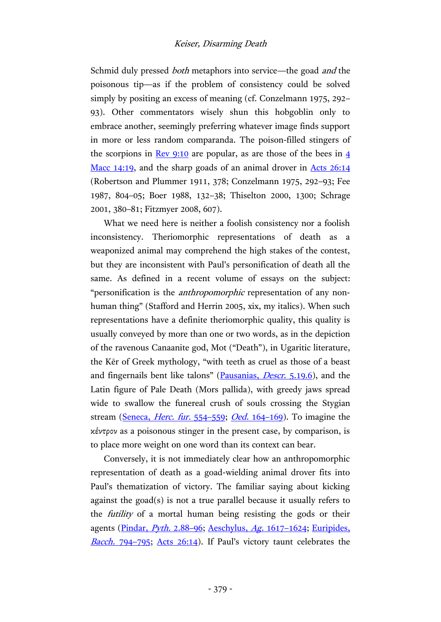Schmid duly pressed *both* metaphors into service—the goad *and* the poisonous tip—as if the problem of consistency could be solved simply by positing an excess of meaning (cf. Conzelmann 1975, 292– 93). Other commentators wisely shun this hobgoblin only to embrace another, seemingly preferring whatever image finds support in more or less random comparanda. The poison-filled stingers of the scorpions in <u>Rev [9:10](http://www.academic-bible.com/bible-text/Revelation9.10/NA/)</u> are popular, as are those of the bees in  $\frac{4}{3}$ Macc [14:19,](http://www.academic-bible.com/bible-text/4Maccabees14.19/LXX/) and the sharp goads of an animal drover in [Acts 26:14](http://www.academic-bible.com/bible-text/Acts26.14/NA/) (Robertson and Plummer 1911, 378; Conzelmann 1975, 292–93; Fee 1987, 804–05; Boer 1988, 132–38; Thiselton 2000, 1300; Schrage 2001, 380–81; Fitzmyer 2008, 607).

What we need here is neither a foolish consistency nor a foolish inconsistency. Theriomorphic representations of death as a weaponized animal may comprehend the high stakes of the contest, but they are inconsistent with Paul's personification of death all the same. As defined in a recent volume of essays on the subject: "personification is the *anthropomorphic* representation of any nonhuman thing" (Stafford and Herrin 2005, xix, my italics). When such representations have a definite theriomorphic quality, this quality is usually conveyed by more than one or two words, as in the depiction of the ravenous Canaanite god, Mot ("Death"), in Ugaritic literature, the Ker of Greek mythology, "with teeth as cruel as those of a beast and fingernails bent like talons" [\(Pausanias,](http://data.perseus.org/citations/urn:cts:greekLit:tlg0525.tlg001.perseus-grc1:5.19.6) Descr. 5.19.6), and the Latin figure of Pale Death (Mors pallida), with greedy jaws spread wide to swallow the funereal crush of souls crossing the Stygian stream [\(Seneca,](http://hdl.handle.net/2027/uc1.32106006161787?urlappend=%3Bseq=72) *Herc. fur.* 554–559; *Oed.* 164–[169\)](http://hdl.handle.net/2027/uc1.32106006161787?urlappend=%3Bseq=460). To imagine the κέντρον as a poisonous stinger in the present case, by comparison, is to place more weight on one word than its context can bear.

Conversely, it is not immediately clear how an anthropomorphic representation of death as a goad-wielding animal drover fits into Paul's thematization of victory. The familiar saying about kicking against the goad(s) is not a true parallel because it usually refers to the futility of a mortal human being resisting the gods or their agents [\(Pindar,](https://archive.org/stream/odesofpindarsand00pinduoft#page/178/mode/2up) Pyth. 2.88-96; [Aeschylus,](https://archive.org/stream/aeschyluswitheng02aescuoft#page/142/mode/2up) Ag. 1617-1624; [Euripides,](https://archive.org/stream/euripidesway03euriuoft#page/66/mode/2up) [Bacch.](https://archive.org/stream/euripidesway03euriuoft#page/66/mode/2up) 794–795; [Acts 26:14](http://www.academic-bible.com/bible-text/Acts26.14/NA/)). If Paul's victory taunt celebrates the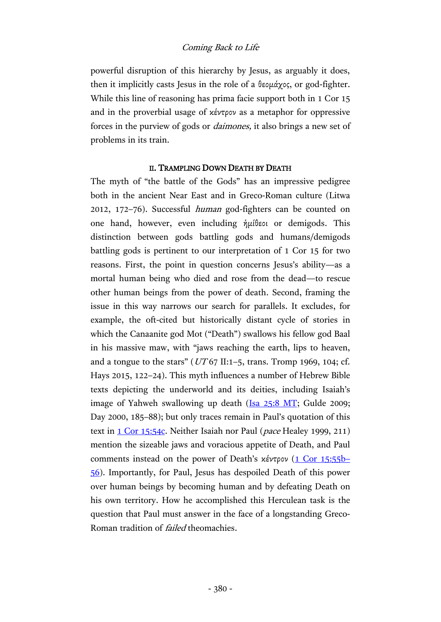powerful disruption of this hierarchy by Jesus, as arguably it does, then it implicitly casts Jesus in the role of a θεομάχος, or god-fighter. While this line of reasoning has prima facie support both in 1 Cor 15 and in the proverbial usage of κέντρον as a metaphor for oppressive forces in the purview of gods or daimones, it also brings a new set of problems in its train.

## II. TRAMPLING DOWN DEATH BY DEATH

The myth of "the battle of the Gods" has an impressive pedigree both in the ancient Near East and in Greco-Roman culture (Litwa 2012, 172–76). Successful human god-fighters can be counted on one hand, however, even including ἡμίθεοι or demigods. This distinction between gods battling gods and humans/demigods battling gods is pertinent to our interpretation of 1 Cor 15 for two reasons. First, the point in question concerns Jesus's ability—as a mortal human being who died and rose from the dead—to rescue other human beings from the power of death. Second, framing the issue in this way narrows our search for parallels. It excludes, for example, the oft-cited but historically distant cycle of stories in which the Canaanite god Mot ("Death") swallows his fellow god Baal in his massive maw, with "jaws reaching the earth, lips to heaven, and a tongue to the stars" ( $UT67$  II:1–5, trans. Tromp 1969, 104; cf. Hays 2015, 122–24). This myth influences a number of Hebrew Bible texts depicting the underworld and its deities, including Isaiah's image of Yahweh swallowing up death [\(Isa 25:8 MT;](http://www.academic-bible.com/bible-text/Isaiah25/BHS/) Gulde 2009; Day 2000, 185–88); but only traces remain in Paul's quotation of this text in [1 Cor 15:54c.](http://www.academic-bible.com/bible-text/1Corinthians15.54/NA/) Neither Isaiah nor Paul (pace Healey 1999, 211) mention the sizeable jaws and voracious appetite of Death, and Paul comments instead on the power of Death's κέντρον [\(1 Cor 15:55b](http://www.academic-bible.com/bible-text/1Corinthians15.55-56/NA/)– [56\)](http://www.academic-bible.com/bible-text/1Corinthians15.55-56/NA/). Importantly, for Paul, Jesus has despoiled Death of this power over human beings by becoming human and by defeating Death on his own territory. How he accomplished this Herculean task is the question that Paul must answer in the face of a longstanding Greco-Roman tradition of *failed* theomachies.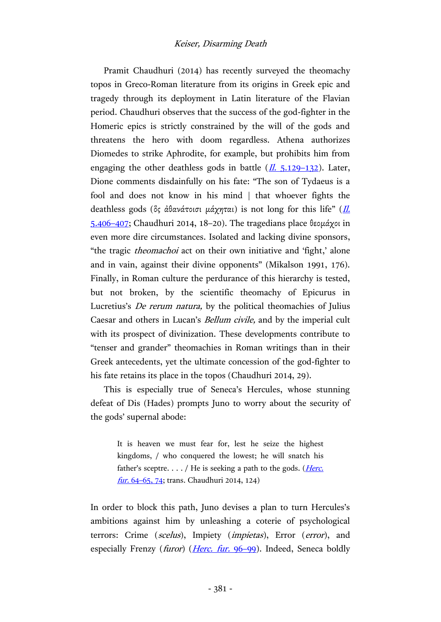Pramit Chaudhuri (2014) has recently surveyed the theomachy topos in Greco-Roman literature from its origins in Greek epic and tragedy through its deployment in Latin literature of the Flavian period. Chaudhuri observes that the success of the god-fighter in the Homeric epics is strictly constrained by the will of the gods and threatens the hero with doom regardless. Athena authorizes Diomedes to strike Aphrodite, for example, but prohibits him from engaging the other deathless gods in battle  $(\underline{II}, 5.129-132)$  $(\underline{II}, 5.129-132)$  $(\underline{II}, 5.129-132)$ . Later, Dione comments disdainfully on his fate: "The son of Tydaeus is a fool and does not know in his mind | that whoever fights the deathless gods ( $\delta$ ς άθανάτοισι μάχηται) is not long for this life" (*Il.* [5.406](https://archive.org/stream/iliadmurray01homeuoft#page/224/mode/2up)–407; Chaudhuri 2014, 18–20). The tragedians place θεομάχοι in even more dire circumstances. Isolated and lacking divine sponsors, "the tragic theomachoi act on their own initiative and 'fight,' alone and in vain, against their divine opponents" (Mikalson 1991, 176). Finally, in Roman culture the perdurance of this hierarchy is tested, but not broken, by the scientific theomachy of Epicurus in Lucretius's De rerum natura, by the political theomachies of Julius Caesar and others in Lucan's Bellum civile, and by the imperial cult with its prospect of divinization. These developments contribute to "tenser and grander" theomachies in Roman writings than in their Greek antecedents, yet the ultimate concession of the god-fighter to his fate retains its place in the topos (Chaudhuri 2014, 29).

This is especially true of Seneca's Hercules, whose stunning defeat of Dis (Hades) prompts Juno to worry about the security of the gods' supernal abode:

> It is heaven we must fear for, lest he seize the highest kingdoms, / who conquered the lowest; he will snatch his father's sceptre.  $\ldots$  / He is seeking a path to the gods. (*Herc.* fur. 64-[65, 74;](http://hdl.handle.net/2027/uc1.32106006161787?urlappend=%3Bseq=28) trans. Chaudhuri 2014, 124)

In order to block this path, Juno devises a plan to turn Hercules's ambitions against him by unleashing a coterie of psychological terrors: Crime (scelus), Impiety (impietas), Error (error), and especially Frenzy (*furor*) (*[Herc. fur.](http://hdl.handle.net/2027/uc1.32106006161787?urlappend=%3Bseq=30)* 96–99). Indeed, Seneca boldly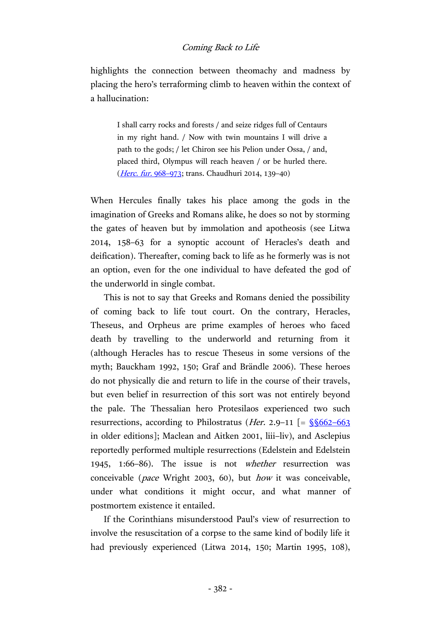highlights the connection between theomachy and madness by placing the hero's terraforming climb to heaven within the context of a hallucination:

> I shall carry rocks and forests / and seize ridges full of Centaurs in my right hand. / Now with twin mountains I will drive a path to the gods; / let Chiron see his Pelion under Ossa, / and, placed third, Olympus will reach heaven / or be hurled there. (*[Herc. fur.](http://hdl.handle.net/2027/uc1.32106006161787?urlappend=%3Bseq=104)* 968–973; trans. Chaudhuri 2014, 139–40)

When Hercules finally takes his place among the gods in the imagination of Greeks and Romans alike, he does so not by storming the gates of heaven but by immolation and apotheosis (see Litwa 2014, 158–63 for a synoptic account of Heracles's death and deification). Thereafter, coming back to life as he formerly was is not an option, even for the one individual to have defeated the god of the underworld in single combat.

This is not to say that Greeks and Romans denied the possibility of coming back to life tout court. On the contrary, Heracles, Theseus, and Orpheus are prime examples of heroes who faced death by travelling to the underworld and returning from it (although Heracles has to rescue Theseus in some versions of the myth; Bauckham 1992, 150; Graf and Brändle 2006). These heroes do not physically die and return to life in the course of their travels, but even belief in resurrection of this sort was not entirely beyond the pale. The Thessalian hero Protesilaos experienced two such resurrections, according to Philostratus (*Her.* 2.9–11  $\left[ = \frac{\sqrt{6662 - 663}}{2} \right]$ in older editions]; Maclean and Aitken 2001, liii–liv), and Asclepius reportedly performed multiple resurrections (Edelstein and Edelstein 1945, 1:66–86). The issue is not whether resurrection was conceivable (pace Wright 2003, 60), but how it was conceivable, under what conditions it might occur, and what manner of postmortem existence it entailed.

If the Corinthians misunderstood Paul's view of resurrection to involve the resuscitation of a corpse to the same kind of bodily life it had previously experienced (Litwa 2014, 150; Martin 1995, 108),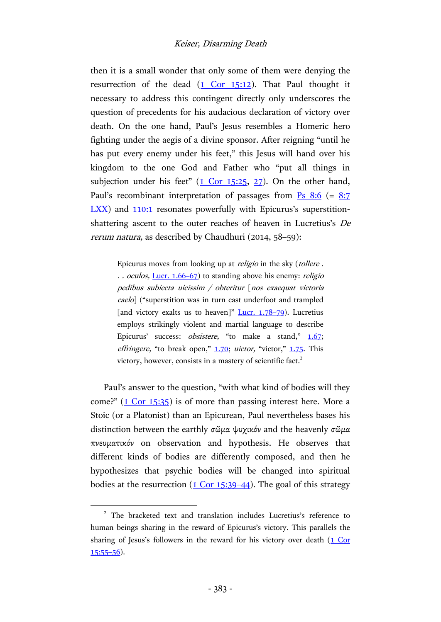then it is a small wonder that only some of them were denying the resurrection of the dead  $(1$  Cor 15:12). That Paul thought it necessary to address this contingent directly only underscores the question of precedents for his audacious declaration of victory over death. On the one hand, Paul's Jesus resembles a Homeric hero fighting under the aegis of a divine sponsor. After reigning "until he has put every enemy under his feet," this Jesus will hand over his kingdom to the one God and Father who "put all things in subjection under his feet"  $(1$  Cor 15:25, [27\)](http://www.academic-bible.com/bible-text/1Corinthians15.27/NA/). On the other hand, Paul's recombinant interpretation of passages from  $\frac{P}{S}$  [8:6](http://www.academic-bible.com/bible-text/Psalm8/BHS/) (= 8:7 [LXX\)](http://www.academic-bible.com/bible-text/Psalm8.7/lxx/) and [110:1](http://www.academic-bible.com/bible-text/Psalm110.1/lxx/) resonates powerfully with Epicurus's superstitionshattering ascent to the outer reaches of heaven in Lucretius's De rerum natura, as described by Chaudhuri (2014, 58–59):

> Epicurus moves from looking up at religio in the sky (tollere . .. oculos, <u>[Lucr. 1.66](https://archive.org/stream/lucretiusonthena00lucruoft#page/12/mode/2up)–67</u>) to standing above his enemy: *religio* pedibus subiecta uicissim / obteritur [nos exaequat victoria caelo] ("superstition was in turn cast underfoot and trampled [and victory exalts us to heaven]"  $Lucr. 1.78-79$  $Lucr. 1.78-79$ ). Lucretius employs strikingly violent and martial language to describe Epicurus' success: *obsistere*, "to make a stand," [1.67;](https://archive.org/stream/lucretiusonthena00lucruoft#page/12/mode/2up) effringere, "to break open,"  $1.70$ ; *uictor*, "victor,"  $1.75$ . This victory, however, consists in a mastery of scientific fact.<sup>2</sup>

Paul's answer to the question, "with what kind of bodies will they come?" [\(1 Cor 15:35\)](http://www.academic-bible.com/bible-text/1Corinthians15.35/NA/) is of more than passing interest here. More a Stoic (or a Platonist) than an Epicurean, Paul nevertheless bases his distinction between the earthly σῶμα ψυχικόν and the heavenly σῶμα πνευματικόν on observation and hypothesis. He observes that different kinds of bodies are differently composed, and then he hypothesizes that psychic bodies will be changed into spiritual bodies at the resurrection  $(1 \text{ Cor } 15:39-44)$ . The goal of this strategy

 $\overline{a}$ 

<sup>&</sup>lt;sup>2</sup> The bracketed text and translation includes Lucretius's reference to human beings sharing in the reward of Epicurus's victory. This parallels the sharing of Jesus's followers in the reward for his victory over death (1 Cor  $15:55-56$  $15:55-56$ ).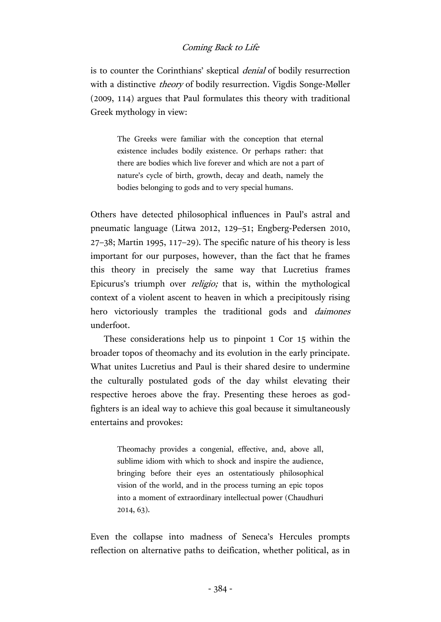is to counter the Corinthians' skeptical denial of bodily resurrection with a distinctive *theory* of bodily resurrection. Vigdis Songe-Møller (2009, 114) argues that Paul formulates this theory with traditional Greek mythology in view:

> The Greeks were familiar with the conception that eternal existence includes bodily existence. Or perhaps rather: that there are bodies which live forever and which are not a part of nature's cycle of birth, growth, decay and death, namely the bodies belonging to gods and to very special humans.

Others have detected philosophical influences in Paul's astral and pneumatic language (Litwa 2012, 129–51; Engberg-Pedersen 2010, 27–38; Martin 1995, 117–29). The specific nature of his theory is less important for our purposes, however, than the fact that he frames this theory in precisely the same way that Lucretius frames Epicurus's triumph over religio; that is, within the mythological context of a violent ascent to heaven in which a precipitously rising hero victoriously tramples the traditional gods and *daimones* underfoot.

These considerations help us to pinpoint 1 Cor 15 within the broader topos of theomachy and its evolution in the early principate. What unites Lucretius and Paul is their shared desire to undermine the culturally postulated gods of the day whilst elevating their respective heroes above the fray. Presenting these heroes as godfighters is an ideal way to achieve this goal because it simultaneously entertains and provokes:

> Theomachy provides a congenial, effective, and, above all, sublime idiom with which to shock and inspire the audience, bringing before their eyes an ostentatiously philosophical vision of the world, and in the process turning an epic topos into a moment of extraordinary intellectual power (Chaudhuri 2014, 63).

Even the collapse into madness of Seneca's Hercules prompts reflection on alternative paths to deification, whether political, as in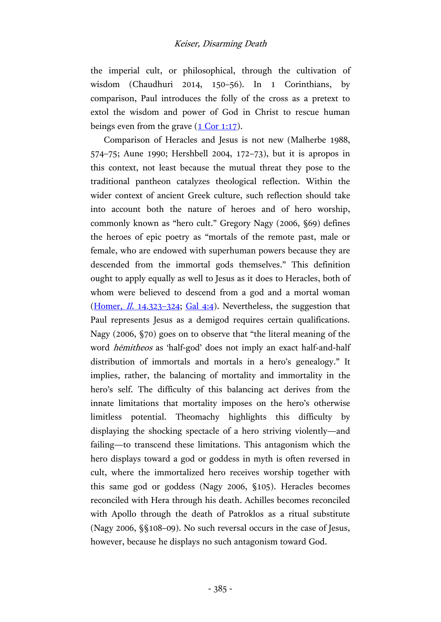the imperial cult, or philosophical, through the cultivation of wisdom (Chaudhuri 2014, 150–56). In 1 Corinthians, by comparison, Paul introduces the folly of the cross as a pretext to extol the wisdom and power of God in Christ to rescue human beings even from the grave  $(1$  Cor 1:17).

Comparison of Heracles and Jesus is not new (Malherbe 1988, 574–75; Aune 1990; Hershbell 2004, 172–73), but it is apropos in this context, not least because the mutual threat they pose to the traditional pantheon catalyzes theological reflection. Within the wider context of ancient Greek culture, such reflection should take into account both the nature of heroes and of hero worship, commonly known as "hero cult." Gregory Nagy (2006, §69) defines the heroes of epic poetry as "mortals of the remote past, male or female, who are endowed with superhuman powers because they are descended from the immortal gods themselves." This definition ought to apply equally as well to Jesus as it does to Heracles, both of whom were believed to descend from a god and a mortal woman [\(Homer,](http://data.perseus.org/citations/urn:cts:greekLit:tlg0012.tlg001.perseus-grc1:14.312-14.351)  $I\!I$ , 14.323-324; [Gal 4:4\)](http://www.academic-bible.com/bible-text/Galatians4.4/NA/). Nevertheless, the suggestion that Paul represents Jesus as a demigod requires certain qualifications. Nagy (2006, §70) goes on to observe that "the literal meaning of the word *hēmitheos* as 'half-god' does not imply an exact half-and-half distribution of immortals and mortals in a hero's genealogy." It implies, rather, the balancing of mortality and immortality in the hero's self. The difficulty of this balancing act derives from the innate limitations that mortality imposes on the hero's otherwise limitless potential. Theomachy highlights this difficulty by displaying the shocking spectacle of a hero striving violently—and failing—to transcend these limitations. This antagonism which the hero displays toward a god or goddess in myth is often reversed in cult, where the immortalized hero receives worship together with this same god or goddess (Nagy 2006, §105). Heracles becomes reconciled with Hera through his death. Achilles becomes reconciled with Apollo through the death of Patroklos as a ritual substitute (Nagy 2006, §§108–09). No such reversal occurs in the case of Jesus, however, because he displays no such antagonism toward God.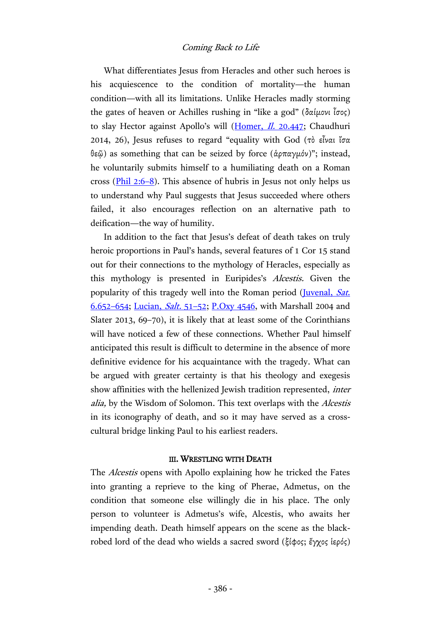What differentiates Jesus from Heracles and other such heroes is his acquiescence to the condition of mortality—the human condition—with all its limitations. Unlike Heracles madly storming the gates of heaven or Achilles rushing in "like a god" (δαίμονι ἶσος) to slay Hector against Apollo's will [\(Homer,](http://data.perseus.org/citations/urn:cts:greekLit:tlg0012.tlg001.perseus-grc1:20.419-20.454) *Il.* 20.447; Chaudhuri 2014, 26), Jesus refuses to regard "equality with God (τὸ εἶναι ἴσα θεῷ) as something that can be seized by force (ἁρπαγμόν)"; instead, he voluntarily submits himself to a humiliating death on a Roman cross ( $\frac{\text{Phi1}}{2.6-8}$ ). This absence of hubris in Jesus not only helps us to understand why Paul suggests that Jesus succeeded where others failed, it also encourages reflection on an alternative path to deification—the way of humility.

In addition to the fact that Jesus's defeat of death takes on truly heroic proportions in Paul's hands, several features of 1 Cor 15 stand out for their connections to the mythology of Heracles, especially as this mythology is presented in Euripides's Alcestis. Given the popularity of this tragedy well into the Roman period (*Juvenal, Sat.* [6.652](https://archive.org/stream/juvenalpersiuswi00juveuoft#page/136/mode/2up)–654; [Lucian,](https://archive.org/stream/lucianhar05luciuoft#page/258/mode/2up) Salt. 51–52; [P.Oxy 4546,](http://163.1.169.40/cgi-bin/library?e=d-000-00---0POxy--00-0-0--0prompt-10---4------0-1l--1-en-50---20-about---00031-001-1-0utfZz-8-00&a=d&c=POxy&cl=CL5.1.67&d=HASH016e50108088ae259b43d6a5) with Marshall 2004 and Slater 2013, 69–70), it is likely that at least some of the Corinthians will have noticed a few of these connections. Whether Paul himself anticipated this result is difficult to determine in the absence of more definitive evidence for his acquaintance with the tragedy. What can be argued with greater certainty is that his theology and exegesis show affinities with the hellenized Jewish tradition represented, *inter* alia, by the Wisdom of Solomon. This text overlaps with the Alcestis in its iconography of death, and so it may have served as a crosscultural bridge linking Paul to his earliest readers.

#### III. WRESTLING WITH DEATH

The Alcestis opens with Apollo explaining how he tricked the Fates into granting a reprieve to the king of Pherae, Admetus, on the condition that someone else willingly die in his place. The only person to volunteer is Admetus's wife, Alcestis, who awaits her impending death. Death himself appears on the scene as the blackrobed lord of the dead who wields a sacred sword (ξίφος; ἔγχος ἱερός)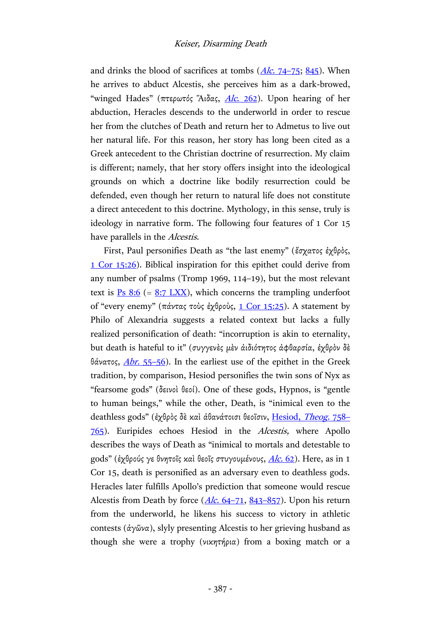and drinks the blood of sacrifices at tombs  $(Alc, 74-75; 845)$  $(Alc, 74-75; 845)$ . When he arrives to abduct Alcestis, she perceives him as a dark-browed, "winged Hades" (πτερωτός "Αιδας,  $Alc. 262$ ). Upon hearing of her abduction, Heracles descends to the underworld in order to rescue her from the clutches of Death and return her to Admetus to live out her natural life. For this reason, her story has long been cited as a Greek antecedent to the Christian doctrine of resurrection. My claim is different; namely, that her story offers insight into the ideological grounds on which a doctrine like bodily resurrection could be defended, even though her return to natural life does not constitute a direct antecedent to this doctrine. Mythology, in this sense, truly is ideology in narrative form. The following four features of 1 Cor 15 have parallels in the Alcestis.

First, Paul personifies Death as "the last enemy" (ἔσχατος ἐχθρὸς, [1 Cor 15:26\)](http://www.academic-bible.com/bible-text/1Corinthians15.26/NA/). Biblical inspiration for this epithet could derive from any number of psalms (Tromp 1969, 114–19), but the most relevant text is  $Ps 8:6 (= 8:7 LXX)$  $Ps 8:6 (= 8:7 LXX)$  $Ps 8:6 (= 8:7 LXX)$  $Ps 8:6 (= 8:7 LXX)$ , which concerns the trampling underfoot</u> of "every enemy" (πάντας τοὺς ἐχθροὺς, [1 Cor 15:25\)](http://www.academic-bible.com/bible-text/1Corinthians15.25/NA/). A statement by Philo of Alexandria suggests a related context but lacks a fully realized personification of death: "incorruption is akin to eternality, but death is hateful to it" (συγγενὲς μὲν ἀιδιότητος ἀφθαρσία, ἐχθρὸν δὲ θάνατος,  $Abr. 55-56$  $Abr. 55-56$ ). In the earliest use of the epithet in the Greek tradition, by comparison, Hesiod personifies the twin sons of Nyx as "fearsome gods" (δεινοὶ θεοί). One of these gods, Hypnos, is "gentle to human beings," while the other, Death, is "inimical even to the deathless gods" (ἐχθρὸς δὲ καὶ ἀθανάτοισι θεοῖσιν, [Hesiod,](http://hdl.handle.net/2027/mdp.39015058551113?urlappend=%3Bseq=194) Theog. 758-[765\)](http://hdl.handle.net/2027/mdp.39015058551113?urlappend=%3Bseq=194). Euripides echoes Hesiod in the Alcestis, where Apollo describes the ways of Death as "inimical to mortals and detestable to gods" (ἐχθρούς γε θνητοῖς καὶ θεοῖς στυγουμένους, [Alc.](http://data.perseus.org/citations/urn:cts:greekLit:tlg0006.tlg002.perseus-grc1:38-76) 62). Here, as in 1 Cor 15, death is personified as an adversary even to deathless gods. Heracles later fulfills Apollo's prediction that someone would rescue Alcestis from Death by force  $(Alc. 64-71, 843-857)$  $(Alc. 64-71, 843-857)$  $(Alc. 64-71, 843-857)$  $(Alc. 64-71, 843-857)$ . Upon his return from the underworld, he likens his success to victory in athletic contests (ἀγῶνα), slyly presenting Alcestis to her grieving husband as though she were a trophy (νικητήρια) from a boxing match or a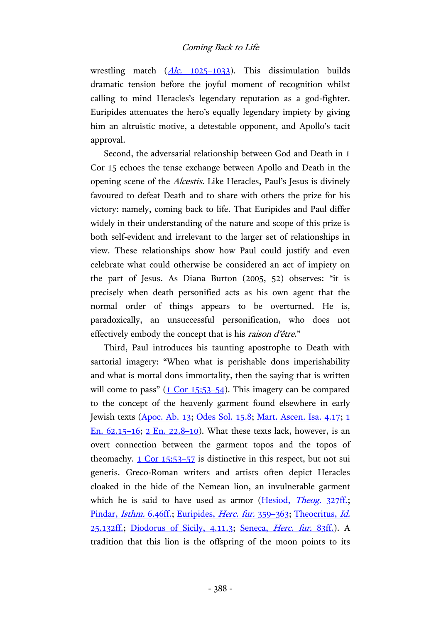wrestling match  $(Alc. 1025-1033)$  $(Alc. 1025-1033)$ . This dissimulation builds dramatic tension before the joyful moment of recognition whilst calling to mind Heracles's legendary reputation as a god-fighter. Euripides attenuates the hero's equally legendary impiety by giving him an altruistic motive, a detestable opponent, and Apollo's tacit approval.

Second, the adversarial relationship between God and Death in 1 Cor 15 echoes the tense exchange between Apollo and Death in the opening scene of the Alcestis. Like Heracles, Paul's Jesus is divinely favoured to defeat Death and to share with others the prize for his victory: namely, coming back to life. That Euripides and Paul differ widely in their understanding of the nature and scope of this prize is both self-evident and irrelevant to the larger set of relationships in view. These relationships show how Paul could justify and even celebrate what could otherwise be considered an act of impiety on the part of Jesus. As Diana Burton (2005, 52) observes: "it is precisely when death personified acts as his own agent that the normal order of things appears to be overturned. He is, paradoxically, an unsuccessful personification, who does not effectively embody the concept that is his raison d'être."

Third, Paul introduces his taunting apostrophe to Death with sartorial imagery: "When what is perishable dons imperishability and what is mortal dons immortality, then the saying that is written will come to pass"  $(1$  Cor 15:53-54). This imagery can be compared to the concept of the heavenly garment found elsewhere in early Jewish texts [\(Apoc. Ab. 13;](https://archive.org/stream/apocalypseofabrabgh00boxg#page/n55/mode/2up) [Odes Sol. 15.8;](https://archive.org/stream/odespsalmsofsolo02harruoft#page/280/mode/2up) [Mart. Ascen. Isa. 4.17;](https://archive.org/stream/cu31924014590529#page/n113/mode/2up) [1](http://hdl.handle.net/2027/uc1.31158009488676?urlappend=%3Bseq=246)  [En. 62.15](http://hdl.handle.net/2027/uc1.31158009488676?urlappend=%3Bseq=246)–16; [2 En. 22.8](http://hdl.handle.net/2027/uc1.31158009488676?urlappend=%3Bseq=461)–10). What these texts lack, however, is an overt connection between the garment topos and the topos of theomachy. [1 Cor 15:53](http://www.academic-bible.com/bible-text/1Corinthians15.53-57/NA/)–57 is distinctive in this respect, but not sui generis. Greco-Roman writers and artists often depict Heracles cloaked in the hide of the Nemean lion, an invulnerable garment which he is said to have used as armor [\(Hesiod,](http://hdl.handle.net/2027/mdp.39015058551113?urlappend=%3Bseq=162) Theog. 327ff.; [Pindar,](https://archive.org/stream/odesofpindarsand00pinduoft#page/484/mode/2up) *Isthm.* 6.46ff.; [Euripides,](https://archive.org/stream/euripidesway03euriuoft#page/154/mode/2up) *Herc. fur.* 359-363; [Theocritus,](https://archive.org/stream/greekbucolicpoet00theouoft#page/312/mode/2up) *Id.* [25.132ff.;](https://archive.org/stream/greekbucolicpoet00theouoft#page/312/mode/2up) [Diodorus of Sicily,](https://archive.org/stream/diodorusofsicily02dioduoft#page/376/mode/2up) 4.11.3; [Seneca,](http://hdl.handle.net/2027/uc1.32106006161787?urlappend=%3Bseq=30) Herc. fur. 83ff.). A tradition that this lion is the offspring of the moon points to its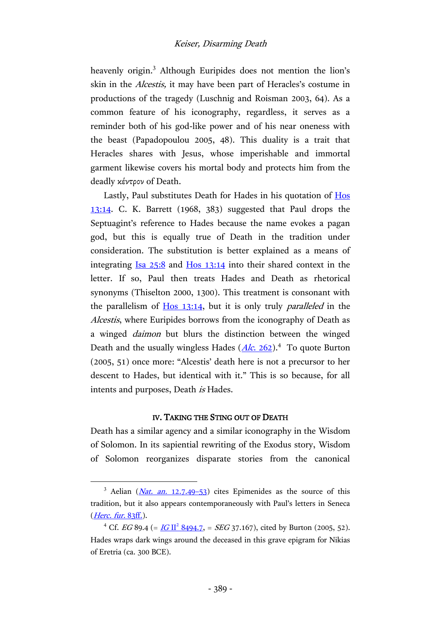heavenly origin. <sup>3</sup> Although Euripides does not mention the lion's skin in the Alcestis, it may have been part of Heracles's costume in productions of the tragedy (Luschnig and Roisman 2003, 64). As a common feature of his iconography, regardless, it serves as a reminder both of his god-like power and of his near oneness with the beast (Papadopoulou 2005, 48). This duality is a trait that Heracles shares with Jesus, whose imperishable and immortal garment likewise covers his mortal body and protects him from the deadly κέντρον of Death.

Lastly, Paul substitutes Death for Hades in his quotation of [Hos](http://www.academic-bible.com/bible-text/Hosea13.14/LXX/) [13:14.](http://www.academic-bible.com/bible-text/Hosea13.14/LXX/) C. K. Barrett (1968, 383) suggested that Paul drops the Septuagint's reference to Hades because the name evokes a pagan god, but this is equally true of Death in the tradition under consideration. The substitution is better explained as a means of integrating Isa [25:8](http://www.academic-bible.com/bible-text/Isaiah25.8/LXX/) and Hos [13:14](http://www.academic-bible.com/bible-text/Hosea13.14/LXX/) into their shared context in the letter. If so, Paul then treats Hades and Death as rhetorical synonyms (Thiselton 2000, 1300). This treatment is consonant with the parallelism of  $H_0$  [13:14,](http://www.academic-bible.com/bible-text/Hosea13.14/LXX/) but it is only truly *paralleled* in the Alcestis, where Euripides borrows from the iconography of Death as a winged daimon but blurs the distinction between the winged Death and the usually wingless Hades (*Alc. 262*).<sup>4</sup> To quote Burton (2005, 51) once more: "Alcestis' death here is not a precursor to her descent to Hades, but identical with it." This is so because, for all intents and purposes, Death is Hades.

#### IV. TAKING THE STING OUT OF DEATH

Death has a similar agency and a similar iconography in the Wisdom of Solomon. In its sapiential rewriting of the Exodus story, Wisdom of Solomon reorganizes disparate stories from the canonical

 $\overline{a}$ 

<sup>&</sup>lt;sup>3</sup> Aelian  $(Nat. an. 12.7.49-53)$  $(Nat. an. 12.7.49-53)$  $(Nat. an. 12.7.49-53)$  cites Epimenides as the source of this tradition, but it also appears contemporaneously with Paul's letters in Seneca  $(Herc. \, fur. \, 83ff.)$ .

<sup>&</sup>lt;sup>4</sup> Cf. *EG* 89.4 (= <u>*IG* II<sup>2</sup> 8494.7</u>, = *SEG* 37.167), cited by Burton (2005, 52). Hades wraps dark wings around the deceased in this grave epigram for Nikias of Eretria (ca. 300 BCE).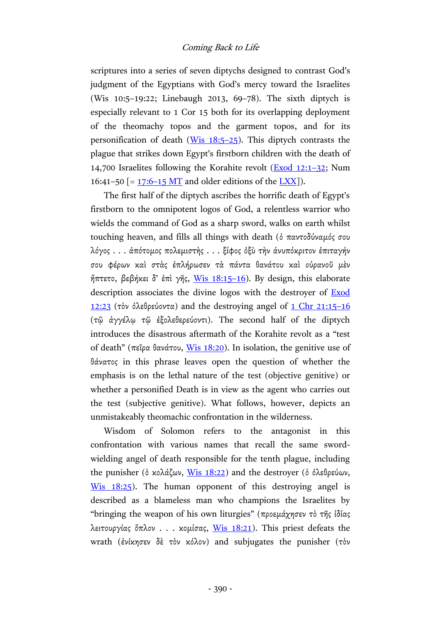scriptures into a series of seven diptychs designed to contrast God's judgment of the Egyptians with God's mercy toward the Israelites (Wis 10:5–19:22; Linebaugh 2013, 69–78). The sixth diptych is especially relevant to 1 Cor 15 both for its overlapping deployment of the theomachy topos and the garment topos, and for its personification of death [\(Wis 18:5](http://www.academic-bible.com/bible-text/Wisdom18.5-25/LXX/)–25). This diptych contrasts the plague that strikes down Egypt's firstborn children with the death of 14,700 Israelites following the Korahite revolt [\(Exod 12:1](http://www.academic-bible.com/bible-text/Exodus12/LXX/)–32; Num 16:41–50  $[= 17:6-15$  MT and older editions of the [LXX\]](http://www.academic-bible.com/bible-text/Numbers17.6-15/LXX/)).

The first half of the diptych ascribes the horrific death of Egypt's firstborn to the omnipotent logos of God, a relentless warrior who wields the command of God as a sharp sword, walks on earth whilst touching heaven, and fills all things with death (ὁ παντοδύναμός σου λόγος . . . ἀπότομος πολεμιστὴς . . . ξίφος ὀξὺ τὴν ἀνυπόκριτον ἐπιταγήν σου φέρων καὶ στὰς ἐπλήρωσεν τὰ πάντα θανάτου καὶ οὐρανοῦ μὲν  $\eta$ πτετο, βεβήκει δ' έπὶ γῆς, [Wis 18:15](http://www.academic-bible.com/bible-text/Wisdom18.15-16/LXX/)-16). By design, this elaborate description associates the divine logos with the destroyer of [Exod](http://www.academic-bible.com/bible-text/exodus12.23/LXX/) [12:23](http://www.academic-bible.com/bible-text/exodus12.23/LXX/) (τὸν ὀλεθρεύοντα) and the destroying angel of [1 Chr](http://www.academic-bible.com/bible-text/1Chronicles21.15-16/LXX/) 21:15-16 (τῷ ἀγγέλῳ τῷ ἐξολεθερεύοντι). The second half of the diptych introduces the disastrous aftermath of the Korahite revolt as a "test of death" (πεῖρα θανάτου, [Wis 18:20\)](http://www.academic-bible.com/bible-text/Wisdom18.20/LXX/). In isolation, the genitive use of θάνατος in this phrase leaves open the question of whether the emphasis is on the lethal nature of the test (objective genitive) or whether a personified Death is in view as the agent who carries out the test (subjective genitive). What follows, however, depicts an unmistakeably theomachic confrontation in the wilderness.

Wisdom of Solomon refers to the antagonist in this confrontation with various names that recall the same swordwielding angel of death responsible for the tenth plague, including the punisher (ὁ κολάζων, [Wis 18:22\)](http://www.academic-bible.com/bible-text/Wisdom18.22/LXX/) and the destroyer (ὁ ὀλεθρεύων, [Wis 18:25\)](http://www.academic-bible.com/bible-text/Wisdom18.25/LXX/). The human opponent of this destroying angel is described as a blameless man who champions the Israelites by "bringing the weapon of his own liturgies" (προεμάχησεν τὸ τῆς ἰδίας λειτουργίας ὅπλον . . . κομίσας, [Wis 18:21\)](http://www.academic-bible.com/bible-text/Wisdom18.21/LXX/). This priest defeats the wrath (ἐνίκησεν δὲ τὸν κόλον) and subjugates the punisher (τὸν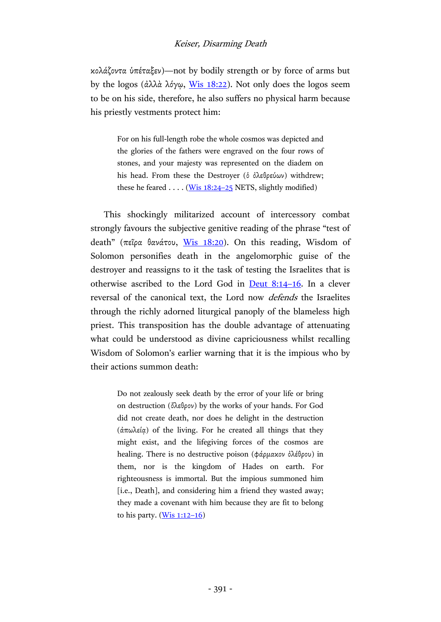## Keiser, Disarming Death

κολάζοντα ὑπέταξεν)—not by bodily strength or by force of arms but by the logos (ἀλλὰ λόγῳ, <u>Wis 18:22</u>). Not only does the logos seem to be on his side, therefore, he also suffers no physical harm because his priestly vestments protect him:

> For on his full-length robe the whole cosmos was depicted and the glories of the fathers were engraved on the four rows of stones, and your majesty was represented on the diadem on his head. From these the Destroyer (ὁ ὀλεθρεύων) withdrew; these he feared  $\dots$  [\(Wis 18:24](http://www.academic-bible.com/bible-text/Wisdom18.24-25/LXX/)–25 NETS, slightly modified)

This shockingly militarized account of intercessory combat strongly favours the subjective genitive reading of the phrase "test of death" (πεῖρα θανάτου, [Wis 18:20\)](http://www.academic-bible.com/bible-text/Wisdom18.20/LXX/). On this reading, Wisdom of Solomon personifies death in the angelomorphic guise of the destroyer and reassigns to it the task of testing the Israelites that is otherwise ascribed to the Lord God in [Deut](http://www.academic-bible.com/bible-text/Deuteronomy8.14-16/LXX/) 8:14–16. In a clever reversal of the canonical text, the Lord now defends the Israelites through the richly adorned liturgical panoply of the blameless high priest. This transposition has the double advantage of attenuating what could be understood as divine capriciousness whilst recalling Wisdom of Solomon's earlier warning that it is the impious who by their actions summon death:

> Do not zealously seek death by the error of your life or bring on destruction (ὄλεθρον) by the works of your hands. For God did not create death, nor does he delight in the destruction ( $\alpha$ πωλεία) of the living. For he created all things that they might exist, and the lifegiving forces of the cosmos are healing. There is no destructive poison (φάρμακον ὀλέθρου) in them, nor is the kingdom of Hades on earth. For righteousness is immortal. But the impious summoned him [i.e., Death], and considering him a friend they wasted away; they made a covenant with him because they are fit to belong to his party.  $(Wis 1:12-16)$  $(Wis 1:12-16)$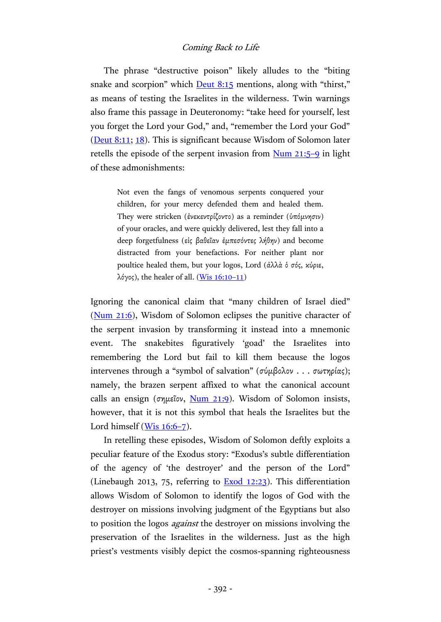The phrase "destructive poison" likely alludes to the "biting snake and scorpion" which **[Deut](http://www.academic-bible.com/bible-text/Deuteronomy8.15/LXX/) 8:15** mentions, along with "thirst," as means of testing the Israelites in the wilderness. Twin warnings also frame this passage in Deuteronomy: "take heed for yourself, lest you forget the Lord your God," and, "remember the Lord your God" [\(Deut 8:11;](http://www.academic-bible.com/bible-text/Deuteronomy8.11/LXX/) [18\)](http://www.academic-bible.com/bible-text/Deuteronomy8.18/LXX/). This is significant because Wisdom of Solomon later retells the episode of the serpent invasion from [Num](http://www.academic-bible.com/bible-text/Numbers21.5-9/LXX/) 21:5–9 in light of these admonishments:

> Not even the fangs of venomous serpents conquered your children, for your mercy defended them and healed them. They were stricken (ἐνεκεντρίζοντο) as a reminder (ὑπόμνησιν) of your oracles, and were quickly delivered, lest they fall into a deep forgetfulness (εἰς βαθεῖαν ἐμπεσόντες λήθην) and become distracted from your benefactions. For neither plant nor poultice healed them, but your logos, Lord (ἀλλὰ ὁ σός, κύριε, λόγος), the healer of all. (Wis  $16:10-11$ )

Ignoring the canonical claim that "many children of Israel died" [\(Num 21:6\)](http://www.academic-bible.com/bible-text/Numbers21.6/LXX/), Wisdom of Solomon eclipses the punitive character of the serpent invasion by transforming it instead into a mnemonic event. The snakebites figuratively 'goad' the Israelites into remembering the Lord but fail to kill them because the logos intervenes through a "symbol of salvation" (σύμβολον . . . σωτηρίας); namely, the brazen serpent affixed to what the canonical account calls an ensign (σημεΐον, [Num 21:9\)](http://www.academic-bible.com/bible-text/Numbers21.9/LXX/). Wisdom of Solomon insists, however, that it is not this symbol that heals the Israelites but the Lord himself [\(Wis 16:6](http://www.academic-bible.com/bible-text/Wisdom16.6-7/LXX/)-7).

In retelling these episodes, Wisdom of Solomon deftly exploits a peculiar feature of the Exodus story: "Exodus's subtle differentiation of the agency of 'the destroyer' and the person of the Lord" (Linebaugh 2013, 75, referring to [Exod 12:23\)](http://www.academic-bible.com/bible-text/exodus12.23/LXX/). This differentiation allows Wisdom of Solomon to identify the logos of God with the destroyer on missions involving judgment of the Egyptians but also to position the logos against the destroyer on missions involving the preservation of the Israelites in the wilderness. Just as the high priest's vestments visibly depict the cosmos-spanning righteousness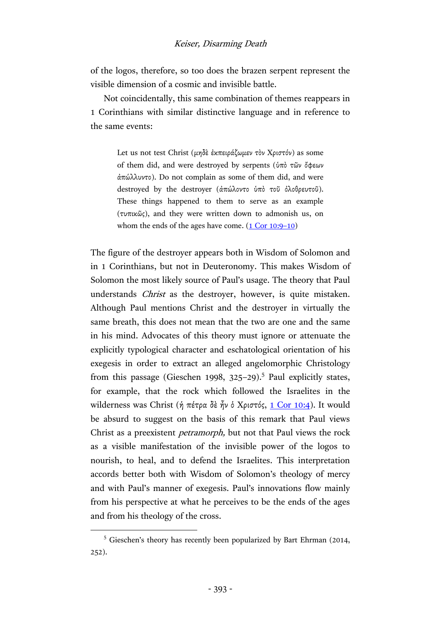## Keiser, Disarming Death

of the logos, therefore, so too does the brazen serpent represent the visible dimension of a cosmic and invisible battle.

Not coincidentally, this same combination of themes reappears in 1 Corinthians with similar distinctive language and in reference to the same events:

> Let us not test Christ (μηδὲ ἐκπειράζωμεν τὸν Χριστόν) as some of them did, and were destroyed by serpents (ὑπὸ τῶν ὄφεων ἀπώλλυντο). Do not complain as some of them did, and were destroyed by the destroyer (ἀπώλοντο ὑπὸ τοῦ ὀλοθρευτοῦ). These things happened to them to serve as an example (τυπικῶς), and they were written down to admonish us, on whom the ends of the ages have come.  $(1$  Cor 10:9–10)

The figure of the destroyer appears both in Wisdom of Solomon and in 1 Corinthians, but not in Deuteronomy. This makes Wisdom of Solomon the most likely source of Paul's usage. The theory that Paul understands *Christ* as the destroyer, however, is quite mistaken. Although Paul mentions Christ and the destroyer in virtually the same breath, this does not mean that the two are one and the same in his mind. Advocates of this theory must ignore or attenuate the explicitly typological character and eschatological orientation of his exegesis in order to extract an alleged angelomorphic Christology from this passage (Gieschen 1998, 325-29).<sup>5</sup> Paul explicitly states, for example, that the rock which followed the Israelites in the wilderness was Christ (ή πέτρα δὲ ἦν ὁ Χριστός, <u>1 Cor 10:4</u>). It would be absurd to suggest on the basis of this remark that Paul views Christ as a preexistent petramorph, but not that Paul views the rock as a visible manifestation of the invisible power of the logos to nourish, to heal, and to defend the Israelites. This interpretation accords better both with Wisdom of Solomon's theology of mercy and with Paul's manner of exegesis. Paul's innovations flow mainly from his perspective at what he perceives to be the ends of the ages and from his theology of the cross.

 $\overline{a}$ 

<sup>5</sup> Gieschen's theory has recently been popularized by Bart Ehrman (2014, 252).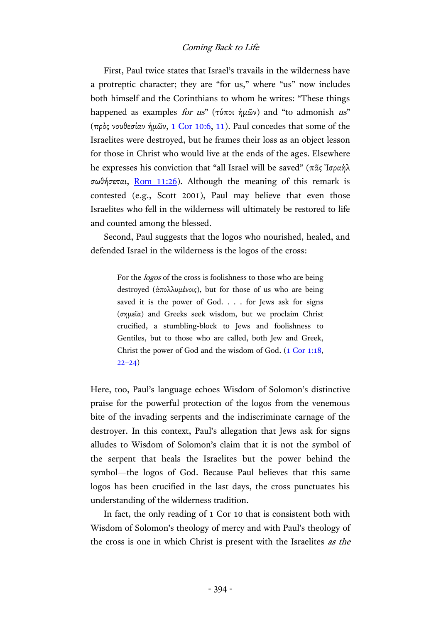First, Paul twice states that Israel's travails in the wilderness have a protreptic character; they are "for us," where "us" now includes both himself and the Corinthians to whom he writes: "These things happened as examples for us" (τύποι ήμῶν) and "to admonish us" (πρὸς νουθεσίαν ἡμῶν, [1 Cor 10:6,](http://www.academic-bible.com/bible-text/1Corinthians10.6/NA/) [11\)](http://www.academic-bible.com/bible-text/1Corinthians10.11/NA/). Paul concedes that some of the Israelites were destroyed, but he frames their loss as an object lesson for those in Christ who would live at the ends of the ages. Elsewhere he expresses his conviction that "all Israel will be saved" (πᾶς Ἰσραὴλ σωθήσεται, [Rom 11:26\)](http://www.academic-bible.com/bible-text/Romans11.26/NA/). Although the meaning of this remark is contested (e.g., Scott 2001), Paul may believe that even those Israelites who fell in the wilderness will ultimately be restored to life and counted among the blessed.

Second, Paul suggests that the logos who nourished, healed, and defended Israel in the wilderness is the logos of the cross:

For the logos of the cross is foolishness to those who are being destroyed (ἀπολλυμένοις), but for those of us who are being saved it is the power of God. . . . for Jews ask for signs (σημεῖα) and Greeks seek wisdom, but we proclaim Christ crucified, a stumbling-block to Jews and foolishness to Gentiles, but to those who are called, both Jew and Greek, Christ the power of God and the wisdom of God. [\(1 Cor 1:18,](http://www.academic-bible.com/bible-text/1Corinthians1.18/NA/)  $22 - 24$ )

Here, too, Paul's language echoes Wisdom of Solomon's distinctive praise for the powerful protection of the logos from the venemous bite of the invading serpents and the indiscriminate carnage of the destroyer. In this context, Paul's allegation that Jews ask for signs alludes to Wisdom of Solomon's claim that it is not the symbol of the serpent that heals the Israelites but the power behind the symbol—the logos of God. Because Paul believes that this same logos has been crucified in the last days, the cross punctuates his understanding of the wilderness tradition.

In fact, the only reading of 1 Cor 10 that is consistent both with Wisdom of Solomon's theology of mercy and with Paul's theology of the cross is one in which Christ is present with the Israelites as the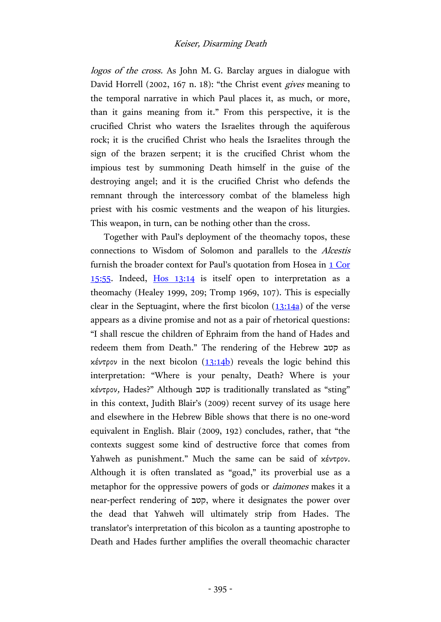logos of the cross. As John M. G. Barclay argues in dialogue with David Horrell (2002, 167 n. 18): "the Christ event *gives* meaning to the temporal narrative in which Paul places it, as much, or more, than it gains meaning from it." From this perspective, it is the crucified Christ who waters the Israelites through the aquiferous rock; it is the crucified Christ who heals the Israelites through the sign of the brazen serpent; it is the crucified Christ whom the impious test by summoning Death himself in the guise of the destroying angel; and it is the crucified Christ who defends the remnant through the intercessory combat of the blameless high priest with his cosmic vestments and the weapon of his liturgies. This weapon, in turn, can be nothing other than the cross.

Together with Paul's deployment of the theomachy topos, these connections to Wisdom of Solomon and parallels to the Alcestis furnish the broader context for Paul's quotation from Hosea in [1 Cor](http://www.academic-bible.com/bible-text/1Corinthians15.55/NA/) [15:55.](http://www.academic-bible.com/bible-text/1Corinthians15.55/NA/) Indeed, Hos [13:14](http://www.academic-bible.com/bible-text/Hosea13.14/LXX/) is itself open to interpretation as a theomachy (Healey 1999, 209; Tromp 1969, 107). This is especially clear in the Septuagint, where the first bicolon  $(13:14a)$  of the verse appears as a divine promise and not as a pair of rhetorical questions: "I shall rescue the children of Ephraim from the hand of Hades and redeem them from Death." The rendering of the Hebrew קטב as κέντρον in the next bicolon  $(13:14b)$  reveals the logic behind this interpretation: "Where is your penalty, Death? Where is your κέντρον, Hades?" Although קטב is traditionally translated as "sting" in this context, Judith Blair's (2009) recent survey of its usage here and elsewhere in the Hebrew Bible shows that there is no one-word equivalent in English. Blair (2009, 192) concludes, rather, that "the contexts suggest some kind of destructive force that comes from Yahweh as punishment." Much the same can be said of κέντρον. Although it is often translated as "goad," its proverbial use as a metaphor for the oppressive powers of gods or daimones makes it a near-perfect rendering of קטב, where it designates the power over the dead that Yahweh will ultimately strip from Hades. The translator's interpretation of this bicolon as a taunting apostrophe to Death and Hades further amplifies the overall theomachic character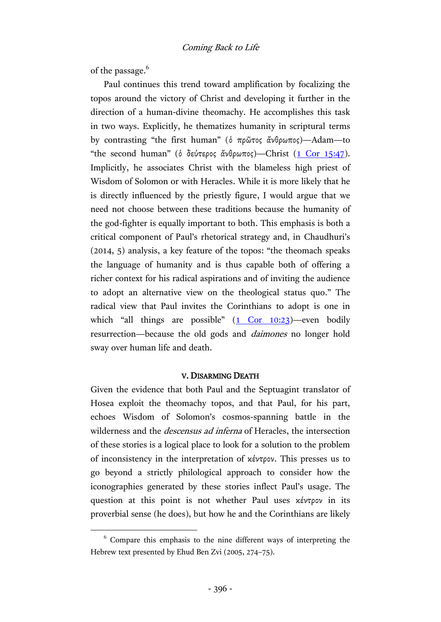of the passage.<sup>6</sup>

 $\overline{a}$ 

Paul continues this trend toward amplification by focalizing the topos around the victory of Christ and developing it further in the direction of a human-divine theomachy. He accomplishes this task in two ways. Explicitly, he thematizes humanity in scriptural terms by contrasting "the first human" (ὁ πρῶτος ἄνθρωπος)—Adam—to "the second human" (δ δεύτερος ἄνθρωπος)—Christ  $(1$  Cor 15:47). Implicitly, he associates Christ with the blameless high priest of Wisdom of Solomon or with Heracles. While it is more likely that he is directly influenced by the priestly figure, I would argue that we need not choose between these traditions because the humanity of the god-fighter is equally important to both. This emphasis is both a critical component of Paul's rhetorical strategy and, in Chaudhuri's (2014, 5) analysis, a key feature of the topos: "the theomach speaks the language of humanity and is thus capable both of offering a richer context for his radical aspirations and of inviting the audience to adopt an alternative view on the theological status quo." The radical view that Paul invites the Corinthians to adopt is one in which "all things are possible"  $(1 \text{ Cor } 10:23)$ —even bodily resurrection—because the old gods and daimones no longer hold sway over human life and death.

## V. DISARMING DEATH

Given the evidence that both Paul and the Septuagint translator of Hosea exploit the theomachy topos, and that Paul, for his part, echoes Wisdom of Solomon's cosmos-spanning battle in the wilderness and the *descensus ad inferna* of Heracles, the intersection of these stories is a logical place to look for a solution to the problem of inconsistency in the interpretation of κέντρον. This presses us to go beyond a strictly philological approach to consider how the iconographies generated by these stories inflect Paul's usage. The question at this point is not whether Paul uses κέντρον in its proverbial sense (he does), but how he and the Corinthians are likely

 $6$  Compare this emphasis to the nine different ways of interpreting the Hebrew text presented by Ehud Ben Zvi (2005, 274–75).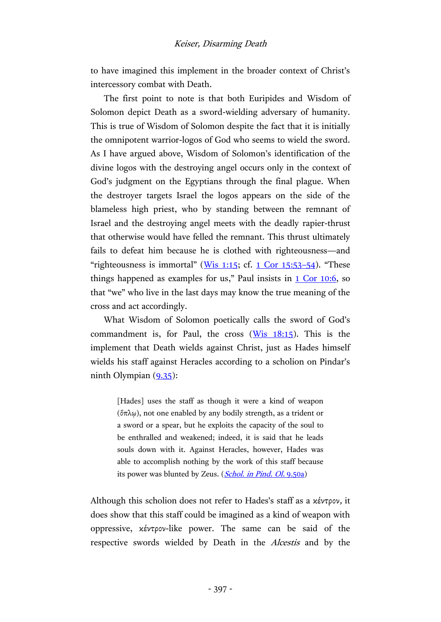to have imagined this implement in the broader context of Christ's intercessory combat with Death.

The first point to note is that both Euripides and Wisdom of Solomon depict Death as a sword-wielding adversary of humanity. This is true of Wisdom of Solomon despite the fact that it is initially the omnipotent warrior-logos of God who seems to wield the sword. As I have argued above, Wisdom of Solomon's identification of the divine logos with the destroying angel occurs only in the context of God's judgment on the Egyptians through the final plague. When the destroyer targets Israel the logos appears on the side of the blameless high priest, who by standing between the remnant of Israel and the destroying angel meets with the deadly rapier-thrust that otherwise would have felled the remnant. This thrust ultimately fails to defeat him because he is clothed with righteousness—and "righteousness is immortal" ( $W$ is 1:15; cf. [1 Cor 15:53](http://www.academic-bible.com/bible-text/1Corinthians15.53-54/NA/)–54). "These things happened as examples for us," Paul insists in  $1 \text{ Cor } 10:6$ , so that "we" who live in the last days may know the true meaning of the cross and act accordingly.

What Wisdom of Solomon poetically calls the sword of God's commandment is, for Paul, the cross  $(Wis 18:15)$ . This is the implement that Death wields against Christ, just as Hades himself wields his staff against Heracles according to a scholion on Pindar's ninth Olympian  $(9.35)$ :

> [Hades] uses the staff as though it were a kind of weapon (ὅπλῳ), not one enabled by any bodily strength, as a trident or a sword or a spear, but he exploits the capacity of the soul to be enthralled and weakened; indeed, it is said that he leads souls down with it. Against Heracles, however, Hades was able to accomplish nothing by the work of this staff because its power was blunted by Zeus. (*Schol. in Pind. Ol.* 9.50a)

Although this scholion does not refer to Hades's staff as a κέντρον, it does show that this staff could be imagined as a kind of weapon with oppressive, κέντρον-like power. The same can be said of the respective swords wielded by Death in the *Alcestis* and by the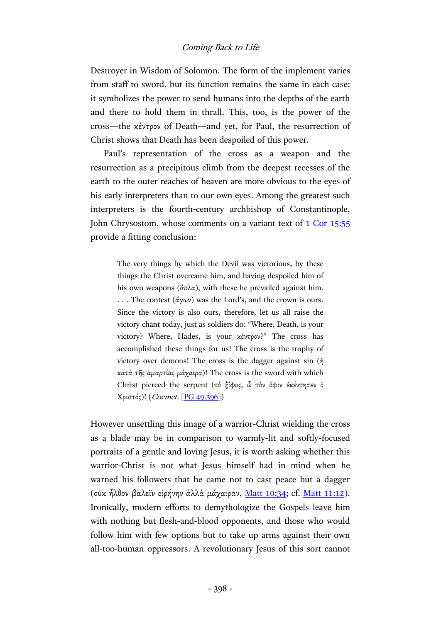Destroyer in Wisdom of Solomon. The form of the implement varies from staff to sword, but its function remains the same in each case: it symbolizes the power to send humans into the depths of the earth and there to hold them in thrall. This, too, is the power of the cross—the κέντρον of Death—and yet, for Paul, the resurrection of Christ shows that Death has been despoiled of this power.

Paul's representation of the cross as a weapon and the resurrection as a precipitous climb from the deepest recesses of the earth to the outer reaches of heaven are more obvious to the eyes of his early interpreters than to our own eyes. Among the greatest such interpreters is the fourth-century archbishop of Constantinople, John Chrysostom, whose comments on a variant text of [1 Cor](http://www.academic-bible.com/bible-text/1Corinthians15.55/NA/) 15:55 provide a fitting conclusion:

> The very things by which the Devil was victorious, by these things the Christ overcame him, and having despoiled him of his own weapons ( $\delta \pi \lambda \alpha$ ), with these he prevailed against him. ... The contest  $(\frac{\partial \gamma}{\partial y})$  was the Lord's, and the crown is ours. Since the victory is also ours, therefore, let us all raise the victory chant today, just as soldiers do: "Where, Death, is your victory? Where, Hades, is your κέντρον?" The cross has accomplished these things for us! The cross is the trophy of victory over demons! The cross is the dagger against sin  $(\eta)$ κατὰ τῆς ἁμαρτίας μάχαιρα)! The cross is the sword with which Christ pierced the serpent (τὸ ξίφος, ὧ τὸν ὄφιν ἐκέντησεν ὁ Χριστός)! (Coemet. [PG [49.396\]](http://hdl.handle.net/2027/uiug.30112024029107?urlappend=%3Bseq=388))

However unsettling this image of a warrior-Christ wielding the cross as a blade may be in comparison to warmly-lit and softly-focused portraits of a gentle and loving Jesus, it is worth asking whether this warrior-Christ is not what Jesus himself had in mind when he warned his followers that he came not to cast peace but a dagger (οὐκ ἦλθον βαλεῖν εἰρήνην ἀλλὰ μάχαιραν, [Matt 10:34;](http://www.academic-bible.com/bible-text/Matthew10.34/NA/) cf. [Matt 11:12\)](http://www.academic-bible.com/bible-text/Matthew11.12/NA/). Ironically, modern efforts to demythologize the Gospels leave him with nothing but flesh-and-blood opponents, and those who would follow him with few options but to take up arms against their own all-too-human oppressors. A revolutionary Jesus of this sort cannot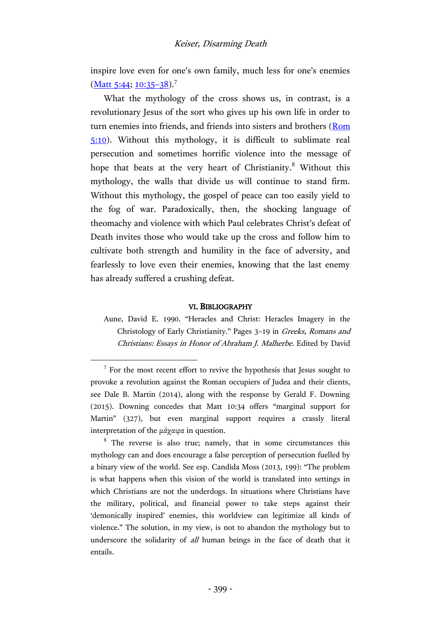## Keiser, Disarming Death

inspire love even for one's own family, much less for one's enemies  $(Matt 5:44; 10:35-38).$  $(Matt 5:44; 10:35-38).$  $(Matt 5:44; 10:35-38).$ <sup>7</sup>

What the mythology of the cross shows us, in contrast, is a revolutionary Jesus of the sort who gives up his own life in order to turn enemies into friends, and friends into sisters and brothers [\(Rom](http://www.academic-bible.com/bible-text/Romans5.10/NA/)  [5:10\)](http://www.academic-bible.com/bible-text/Romans5.10/NA/). Without this mythology, it is difficult to sublimate real persecution and sometimes horrific violence into the message of hope that beats at the very heart of Christianity.<sup>8</sup> Without this mythology, the walls that divide us will continue to stand firm. Without this mythology, the gospel of peace can too easily yield to the fog of war. Paradoxically, then, the shocking language of theomachy and violence with which Paul celebrates Christ's defeat of Death invites those who would take up the cross and follow him to cultivate both strength and humility in the face of adversity, and fearlessly to love even their enemies, knowing that the last enemy has already suffered a crushing defeat.

#### VI. BIBLIOGRAPHY

Aune, David E. 1990. "Heracles and Christ: Heracles Imagery in the Christology of Early Christianity." Pages 3–19 in Greeks, Romans and Christians: Essays in Honor of Abraham J. Malherbe. Edited by David

 $\overline{a}$ 

<sup>&</sup>lt;sup>7</sup> For the most recent effort to revive the hypothesis that Jesus sought to provoke a revolution against the Roman occupiers of Judea and their clients, see Dale B. Martin (2014), along with the response by Gerald F. Downing (2015). Downing concedes that Matt 10:34 offers "marginal support for Martin" (327), but even marginal support requires a crassly literal interpretation of the μάχαιρα in question.

 $8$  The reverse is also true; namely, that in some circumstances this mythology can and does encourage a false perception of persecution fuelled by a binary view of the world. See esp. Candida Moss (2013, 199): "The problem is what happens when this vision of the world is translated into settings in which Christians are not the underdogs. In situations where Christians have the military, political, and financial power to take steps against their 'demonically inspired' enemies, this worldview can legitimize all kinds of violence." The solution, in my view, is not to abandon the mythology but to underscore the solidarity of all human beings in the face of death that it entails.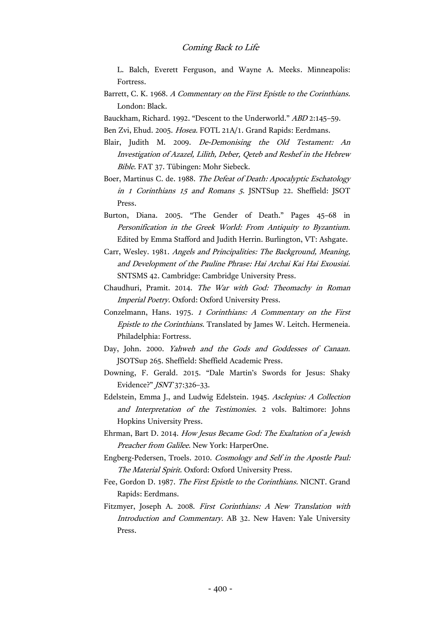- L. Balch, Everett Ferguson, and Wayne A. Meeks. Minneapolis: Fortress.
- Barrett, C. K. 1968. A Commentary on the First Epistle to the Corinthians. London: Black.

Bauckham, Richard. 1992. "Descent to the Underworld." ABD 2:145–59.

Ben Zvi, Ehud. 2005. Hosea. FOTL 21A/1. Grand Rapids: Eerdmans.

- Blair, Judith M. 2009. De-Demonising the Old Testament: An Investigation of Azazel, Lilith, Deber, Qeteb and Reshef in the Hebrew Bible. FAT 37. Tübingen: Mohr Siebeck.
- Boer, Martinus C. de. 1988. The Defeat of Death: Apocalyptic Eschatology in 1 Corinthians 15 and Romans 5. JSNTSup 22. Sheffield: JSOT Press.
- Burton, Diana. 2005. "The Gender of Death." Pages 45–68 in Personification in the Greek World: From Antiquity to Byzantium. Edited by Emma Stafford and Judith Herrin. Burlington, VT: Ashgate.
- Carr, Wesley. 1981. Angels and Principalities: The Background, Meaning, and Development of the Pauline Phrase: Hai Archai Kai Hai Exousiai. SNTSMS 42. Cambridge: Cambridge University Press.
- Chaudhuri, Pramit. 2014. The War with God: Theomachy in Roman Imperial Poetry. Oxford: Oxford University Press.
- Conzelmann, Hans. 1975. 1 Corinthians: A Commentary on the First Epistle to the Corinthians. Translated by James W. Leitch. Hermeneia. Philadelphia: Fortress.
- Day, John. 2000. Yahweh and the Gods and Goddesses of Canaan. JSOTSup 265. Sheffield: Sheffield Academic Press.
- Downing, F. Gerald. 2015. "Dale Martin's Swords for Jesus: Shaky Evidence?" JSNT 37:326–33.
- Edelstein, Emma J., and Ludwig Edelstein. 1945. Asclepius: A Collection and Interpretation of the Testimonies. 2 vols. Baltimore: Johns Hopkins University Press.
- Ehrman, Bart D. 2014. How Jesus Became God: The Exaltation of a Jewish Preacher from Galilee. New York: HarperOne.
- Engberg-Pedersen, Troels. 2010. Cosmology and Self in the Apostle Paul: The Material Spirit. Oxford: Oxford University Press.
- Fee, Gordon D. 1987. The First Epistle to the Corinthians. NICNT. Grand Rapids: Eerdmans.
- Fitzmyer, Joseph A. 2008. First Corinthians: A New Translation with Introduction and Commentary. AB 32. New Haven: Yale University Press.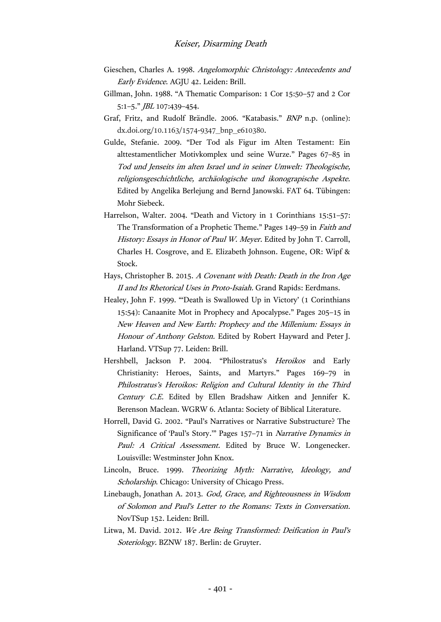- Gieschen, Charles A. 1998. Angelomorphic Christology: Antecedents and Early Evidence. AGJU 42. Leiden: Brill.
- Gillman, John. 1988. "A Thematic Comparison: 1 Cor 15:50–57 and 2 Cor 5:1–5." JBL 107:439–454.
- Graf, Fritz, and Rudolf Brändle. 2006. "Katabasis." BNP n.p. (online): dx.doi.org/10.1163/1574-9347\_bnp\_e610380.
- Gulde, Stefanie. 2009. "Der Tod als Figur im Alten Testament: Ein alttestamentlicher Motivkomplex und seine Wurze." Pages 67–85 in Tod und Jenseits im alten Israel und in seiner Umwelt: Theologische, religionsgeschichtliche, archäologische und ikonograpische Aspekte. Edited by Angelika Berlejung and Bernd Janowski. FAT 64. Tübingen: Mohr Siebeck.
- Harrelson, Walter. 2004. "Death and Victory in 1 Corinthians 15:51–57: The Transformation of a Prophetic Theme." Pages 149–59 in Faith and History: Essays in Honor of Paul W. Meyer. Edited by John T. Carroll, Charles H. Cosgrove, and E. Elizabeth Johnson. Eugene, OR: Wipf & Stock.
- Hays, Christopher B. 2015. A Covenant with Death: Death in the Iron Age II and Its Rhetorical Uses in Proto-Isaiah. Grand Rapids: Eerdmans.
- Healey, John F. 1999. "'Death is Swallowed Up in Victory' (1 Corinthians 15:54): Canaanite Mot in Prophecy and Apocalypse." Pages 205–15 in New Heaven and New Earth: Prophecy and the Millenium: Essays in Honour of Anthony Gelston. Edited by Robert Hayward and Peter J. Harland. VTSup 77. Leiden: Brill.
- Hershbell, Jackson P. 2004. "Philostratus's Heroikos and Early Christianity: Heroes, Saints, and Martyrs." Pages 169–79 in Philostratus's Heroikos: Religion and Cultural Identity in the Third Century C.E. Edited by Ellen Bradshaw Aitken and Jennifer K. Berenson Maclean. WGRW 6. Atlanta: Society of Biblical Literature.
- Horrell, David G. 2002. "Paul's Narratives or Narrative Substructure? The Significance of 'Paul's Story.'" Pages 157–71 in Narrative Dynamics in Paul: A Critical Assessment. Edited by Bruce W. Longenecker. Louisville: Westminster John Knox.
- Lincoln, Bruce. 1999. Theorizing Myth: Narrative, Ideology, and Scholarship. Chicago: University of Chicago Press.
- Linebaugh, Jonathan A. 2013. God, Grace, and Righteousness in Wisdom of Solomon and Paul's Letter to the Romans: Texts in Conversation. NovTSup 152. Leiden: Brill.
- Litwa, M. David. 2012. We Are Being Transformed: Deification in Paul's Soteriology. BZNW 187. Berlin: de Gruyter.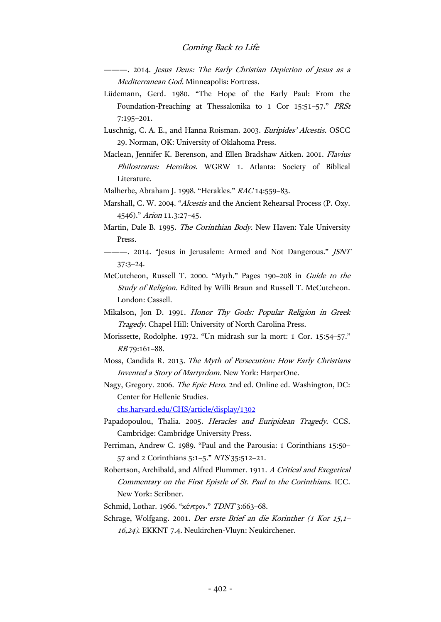———. 2014. Jesus Deus: The Early Christian Depiction of Jesus as a Mediterranean God. Minneapolis: Fortress.

- Lüdemann, Gerd. 1980. "The Hope of the Early Paul: From the Foundation-Preaching at Thessalonika to 1 Cor 15:51–57." PRSt 7:195–201.
- Luschnig, C. A. E., and Hanna Roisman. 2003. Euripides' Alcestis. OSCC 29. Norman, OK: University of Oklahoma Press.
- Maclean, Jennifer K. Berenson, and Ellen Bradshaw Aitken. 2001. Flavius Philostratus: Heroikos. WGRW 1. Atlanta: Society of Biblical Literature.

Malherbe, Abraham J. 1998. "Herakles." RAC 14:559–83.

- Marshall, C. W. 2004. "Alcestis and the Ancient Rehearsal Process (P. Oxy. 4546)." Arion 11.3:27–45.
- Martin, Dale B. 1995. The Corinthian Body. New Haven: Yale University Press.
- -- 2014. "Jesus in Jerusalem: Armed and Not Dangerous." *JSNT* 37:3–24.
- McCutcheon, Russell T. 2000. "Myth." Pages 190–208 in Guide to the Study of Religion. Edited by Willi Braun and Russell T. McCutcheon. London: Cassell.
- Mikalson, Jon D. 1991. Honor Thy Gods: Popular Religion in Greek Tragedy. Chapel Hill: University of North Carolina Press.
- Morissette, Rodolphe. 1972. "Un midrash sur la mort: 1 Cor. 15:54–57." RB 79:161–88.
- Moss, Candida R. 2013. The Myth of Persecution: How Early Christians Invented a Story of Martyrdom. New York: HarperOne.
- Nagy, Gregory. 2006. The Epic Hero. 2nd ed. Online ed. Washington, DC: Center for Hellenic Studies.

[chs.harvard.edu/CHS/article/display/1302](http://chs.harvard.edu/CHS/article/display/1302)

- Papadopoulou, Thalia. 2005. Heracles and Euripidean Tragedy. CCS. Cambridge: Cambridge University Press.
- Perriman, Andrew C. 1989. "Paul and the Parousia: 1 Corinthians 15:50– 57 and 2 Corinthians 5:1–5." NTS 35:512–21.
- Robertson, Archibald, and Alfred Plummer. 1911. A Critical and Exegetical Commentary on the First Epistle of St. Paul to the Corinthians. ICC. New York: Scribner.
- Schmid, Lothar. 1966. "κέντρον." TDNT 3:663–68.
- Schrage, Wolfgang. 2001. Der erste Brief an die Korinther (1 Kor 15,1– 16,24). EKKNT 7.4. Neukirchen-Vluyn: Neukirchener.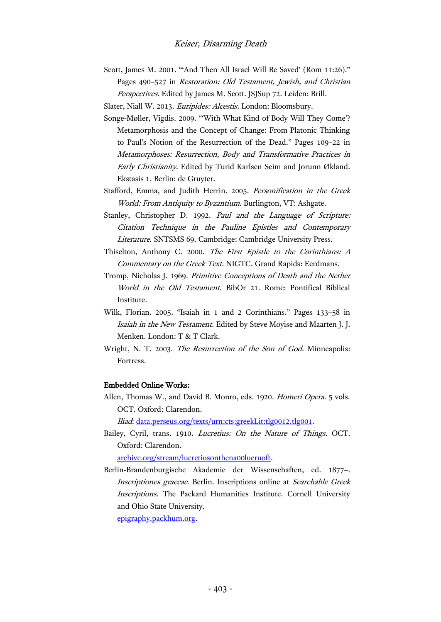Scott, James M. 2001. "'And Then All Israel Will Be Saved' (Rom 11:26)." Pages 490–527 in Restoration: Old Testament, Jewish, and Christian Perspectives. Edited by James M. Scott. JSJSup 72. Leiden: Brill.

Slater, Niall W. 2013. Euripides: Alcestis. London: Bloomsbury.

- Songe-Møller, Vigdis. 2009. "'With What Kind of Body Will They Come'? Metamorphosis and the Concept of Change: From Platonic Thinking to Paul's Notion of the Resurrection of the Dead." Pages 109–22 in Metamorphoses: Resurrection, Body and Transformative Practices in Early Christianity. Edited by Turid Karlsen Seim and Jorunn Økland. Ekstasis 1. Berlin: de Gruyter.
- Stafford, Emma, and Judith Herrin. 2005. Personification in the Greek World: From Antiquity to Byzantium. Burlington, VT: Ashgate.
- Stanley, Christopher D. 1992. Paul and the Language of Scripture: Citation Technique in the Pauline Epistles and Contemporary Literature. SNTSMS 69. Cambridge: Cambridge University Press.
- Thiselton, Anthony C. 2000. The First Epistle to the Corinthians: A Commentary on the Greek Text. NIGTC. Grand Rapids: Eerdmans.
- Tromp, Nicholas J. 1969. Primitive Conceptions of Death and the Nether World in the Old Testament. BibOr 21. Rome: Pontifical Biblical Institute.
- Wilk, Florian. 2005. "Isaiah in 1 and 2 Corinthians." Pages 133–58 in Isaiah in the New Testament. Edited by Steve Moyise and Maarten J. J. Menken. London: T & T Clark.
- Wright, N. T. 2003. The Resurrection of the Son of God. Minneapolis: Fortress.

#### Embedded Online Works:

Allen, Thomas W., and David B. Monro, eds. 1920. Homeri Opera. 5 vols. OCT. Oxford: Clarendon.

Iliad: [data.perseus.org/texts/urn:cts:greekLit:tlg0012.tlg001.](http://data.perseus.org/texts/urn:cts:greekLit:tlg0012.tlg001)

Bailey, Cyril, trans. 1910. Lucretius: On the Nature of Things. OCT. Oxford: Clarendon.

[archive.org/stream/lucretiusonthena00lucruoft.](https://archive.org/stream/lucretiusonthena00lucruoft)

Berlin-Brandenburgische Akademie der Wissenschaften, ed. 1877–. Inscriptiones graecae. Berlin. Inscriptions online at Searchable Greek Inscriptions. The Packard Humanities Institute. Cornell University and Ohio State University.

[epigraphy.packhum.org.](http://epigraphy.packhum.org/)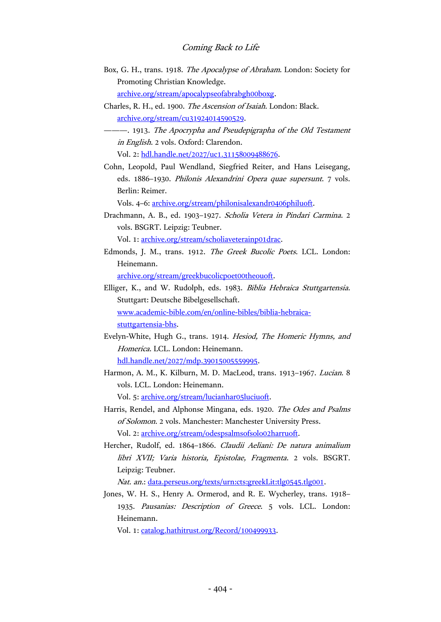- Box, G. H., trans. 1918. The Apocalypse of Abraham. London: Society for Promoting Christian Knowledge. [archive.org/stream/apocalypseofabrabgh00boxg.](https://archive.org/stream/apocalypseofabrabgh00boxg)
- Charles, R. H., ed. 1900. The Ascension of Isaiah. London: Black. [archive.org/stream/cu31924014590529.](https://archive.org/stream/cu31924014590529)
- ———. 1913. The Apocrypha and Pseudepigrapha of the Old Testament in English. 2 vols. Oxford: Clarendon.

Vol. 2: [hdl.handle.net/2027/uc1.31158009488676.](http://hdl.handle.net/2027/uc1.31158009488676)

Cohn, Leopold, Paul Wendland, Siegfried Reiter, and Hans Leisegang, eds. 1886–1930. Philonis Alexandrini Opera quae supersunt. 7 vols. Berlin: Reimer.

Vols. 4–6: [archive.org/stream/philonisalexandr0406philuoft.](https://archive.org/stream/philonisalexandr0406philuoft)

- Drachmann, A. B., ed. 1903–1927. Scholia Vetera in Pindari Carmina. 2 vols. BSGRT. Leipzig: Teubner. Vol. 1: [archive.org/stream/scholiaveterainp01drac.](https://archive.org/stream/scholiaveterainp01drac)
- Edmonds, J. M., trans. 1912. The Greek Bucolic Poets. LCL. London: Heinemann.

[archive.org/stream/greekbucolicpoet00theouoft.](https://archive.org/stream/greekbucolicpoet00theouoft)

- Elliger, K., and W. Rudolph, eds. 1983. Biblia Hebraica Stuttgartensia. Stuttgart: Deutsche Bibelgesellschaft. [www.academic-bible.com/en/online-bibles/biblia-hebraica](http://www.academic-bible.com/en/online-bibles/biblia-hebraica-stuttgartensia-bhs)[stuttgartensia-bhs.](http://www.academic-bible.com/en/online-bibles/biblia-hebraica-stuttgartensia-bhs)
- Evelyn-White, Hugh G., trans. 1914. Hesiod, The Homeric Hymns, and Homerica. LCL. London: Heinemann.

[hdl.handle.net/2027/mdp.39015005559995.](http://hdl.handle.net/2027/mdp.39015005559995)

Harmon, A. M., K. Kilburn, M. D. MacLeod, trans. 1913–1967. Lucian. 8 vols. LCL. London: Heinemann.

Vol. 5: [archive.org/stream/lucianhar05luciuoft.](https://archive.org/stream/lucianhar05luciuoft)

- Harris, Rendel, and Alphonse Mingana, eds. 1920. The Odes and Psalms of Solomon. 2 vols. Manchester: Manchester University Press. Vol. 2: [archive.org/stream/odespsalmsofsolo02harruoft.](https://archive.org/stream/odespsalmsofsolo02harruoft)
- Hercher, Rudolf, ed. 1864–1866. Claudii Aeliani: De natura animalium libri XVII; Varia historia, Epistolae, Fragmenta. 2 vols. BSGRT. Leipzig: Teubner.

Nat. an.: [data.perseus.org/texts/urn:cts:greekLit:tlg0545.tlg001.](http://data.perseus.org/texts/urn:cts:greekLit:tlg0545.tlg001)

Jones, W. H. S., Henry A. Ormerod, and R. E. Wycherley, trans. 1918– 1935. Pausanias: Description of Greece. 5 vols. LCL. London: Heinemann.

Vol. 1: [catalog.hathitrust.org/Record/100499933.](https://catalog.hathitrust.org/Record/100499933)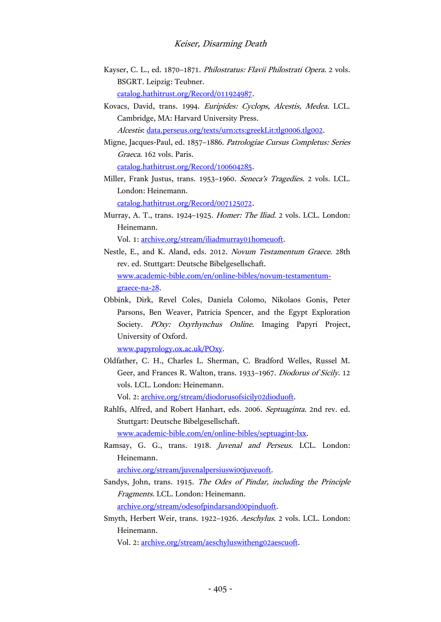- Kayser, C. L., ed. 1870–1871. Philostratus: Flavii Philostrati Opera. 2 vols. BSGRT. Leipzig: Teubner. [catalog.hathitrust.org/Record/011924987.](https://catalog.hathitrust.org/Record/011924987)
- Kovacs, David, trans. 1994. Euripides: Cyclops, Alcestis, Medea. LCL. Cambridge, MA: Harvard University Press. Alcestis: [data.perseus.org/texts/urn:cts:greekLit:tlg0006.tlg002.](http://data.perseus.org/texts/urn:cts:greekLit:tlg0006.tlg002)

Migne, Jacques-Paul, ed. 1857–1886. Patrologiae Cursus Completus: Series Graeca. 162 vols. Paris.

[catalog.hathitrust.org/Record/100604285.](https://catalog.hathitrust.org/Record/100604285)

Miller, Frank Justus, trans. 1953–1960. Seneca's Tragedies. 2 vols. LCL. London: Heinemann.

[catalog.hathitrust.org/Record/007125072.](https://catalog.hathitrust.org/Record/007125072)

Murray, A. T., trans. 1924–1925. Homer: The Iliad. 2 vols. LCL. London: Heinemann.

Vol. 1: [archive.org/stream/iliadmurray01homeuoft.](https://archive.org/stream/iliadmurray01homeuoft)

- Nestle, E., and K. Aland, eds. 2012. Novum Testamentum Graece. 28th rev. ed. Stuttgart: Deutsche Bibelgesellschaft. [www.academic-bible.com/en/online-bibles/novum-testamentum](http://www.academic-bible.com/en/online-bibles/novum-testamentum-graece-na-28)[graece-na-28.](http://www.academic-bible.com/en/online-bibles/novum-testamentum-graece-na-28)
- Obbink, Dirk, Revel Coles, Daniela Colomo, Nikolaos Gonis, Peter Parsons, Ben Weaver, Patricia Spencer, and the Egypt Exploration Society. POxy: Oxyrhynchus Online. Imaging Papyri Project, University of Oxford.

[www.papyrology.ox.ac.uk/POxy.](http://www.papyrology.ox.ac.uk/POxy/)

Oldfather, C. H., Charles L. Sherman, C. Bradford Welles, Russel M. Geer, and Frances R. Walton, trans. 1933–1967. Diodorus of Sicily. 12 vols. LCL. London: Heinemann.

Vol. 2: [archive.org/stream/diodorusofsicily02dioduoft.](https://archive.org/stream/diodorusofsicily02dioduoft)

Rahlfs, Alfred, and Robert Hanhart, eds. 2006. Septuaginta. 2nd rev. ed. Stuttgart: Deutsche Bibelgesellschaft.

[www.academic-bible.com/en/online-bibles/septuagint-lxx.](http://www.academic-bible.com/en/online-bibles/septuagint-lxx)

Ramsay, G. G., trans. 1918. Juvenal and Perseus. LCL. London: Heinemann.

[archive.org/stream/juvenalpersiuswi00juveuoft.](https://archive.org/stream/juvenalpersiuswi00juveuoft)

- Sandys, John, trans. 1915. The Odes of Pindar, including the Principle Fragments. LCL. London: Heinemann. [archive.org/stream/odesofpindarsand00pinduoft.](https://archive.org/stream/odesofpindarsand00pinduoft)
- Smyth, Herbert Weir, trans. 1922–1926. Aeschylus. 2 vols. LCL. London: Heinemann.

Vol. 2: [archive.org/stream/aeschyluswitheng02aescuoft.](https://archive.org/stream/aeschyluswitheng02aescuoft)